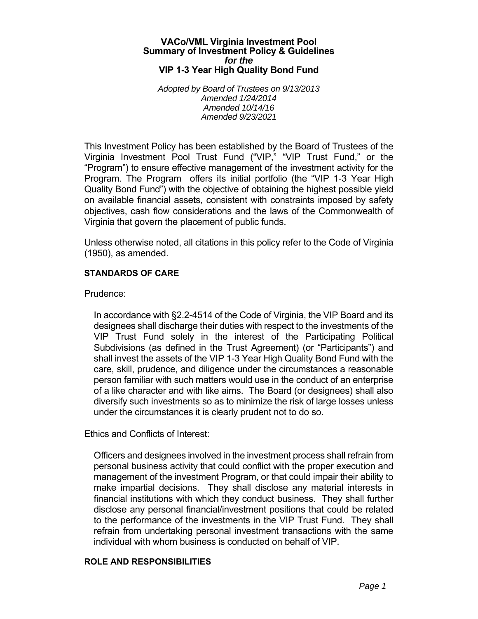### **VACo/VML Virginia Investment Pool Summary of Investment Policy & Guidelines**  *for the*  **VIP 1-3 Year High Quality Bond Fund**

*Adopted by Board of Trustees on 9/13/2013 Amended 1/24/2014 Amended 10/14/16 Amended 9/23/2021* 

This Investment Policy has been established by the Board of Trustees of the Virginia Investment Pool Trust Fund ("VIP," "VIP Trust Fund," or the "Program") to ensure effective management of the investment activity for the Program. The Program offers its initial portfolio (the "VIP 1-3 Year High Quality Bond Fund") with the objective of obtaining the highest possible yield on available financial assets, consistent with constraints imposed by safety objectives, cash flow considerations and the laws of the Commonwealth of Virginia that govern the placement of public funds.

Unless otherwise noted, all citations in this policy refer to the Code of Virginia (1950), as amended.

## **STANDARDS OF CARE**

Prudence:

In accordance with §2.2-4514 of the Code of Virginia, the VIP Board and its designees shall discharge their duties with respect to the investments of the VIP Trust Fund solely in the interest of the Participating Political Subdivisions (as defined in the Trust Agreement) (or "Participants") and shall invest the assets of the VIP 1-3 Year High Quality Bond Fund with the care, skill, prudence, and diligence under the circumstances a reasonable person familiar with such matters would use in the conduct of an enterprise of a like character and with like aims. The Board (or designees) shall also diversify such investments so as to minimize the risk of large losses unless under the circumstances it is clearly prudent not to do so.

Ethics and Conflicts of Interest:

Officers and designees involved in the investment process shall refrain from personal business activity that could conflict with the proper execution and management of the investment Program, or that could impair their ability to make impartial decisions. They shall disclose any material interests in financial institutions with which they conduct business. They shall further disclose any personal financial/investment positions that could be related to the performance of the investments in the VIP Trust Fund. They shall refrain from undertaking personal investment transactions with the same individual with whom business is conducted on behalf of VIP.

## **ROLE AND RESPONSIBILITIES**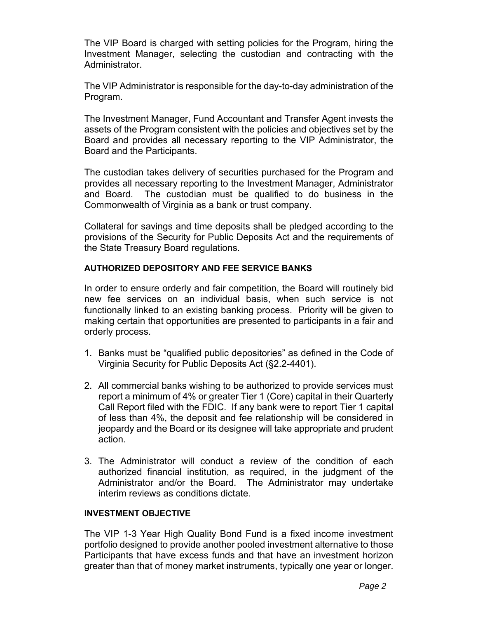The VIP Board is charged with setting policies for the Program, hiring the Investment Manager, selecting the custodian and contracting with the Administrator.

The VIP Administrator is responsible for the day-to-day administration of the Program.

The Investment Manager, Fund Accountant and Transfer Agent invests the assets of the Program consistent with the policies and objectives set by the Board and provides all necessary reporting to the VIP Administrator, the Board and the Participants.

The custodian takes delivery of securities purchased for the Program and provides all necessary reporting to the Investment Manager, Administrator and Board. The custodian must be qualified to do business in the Commonwealth of Virginia as a bank or trust company.

Collateral for savings and time deposits shall be pledged according to the provisions of the Security for Public Deposits Act and the requirements of the State Treasury Board regulations.

# **AUTHORIZED DEPOSITORY AND FEE SERVICE BANKS**

In order to ensure orderly and fair competition, the Board will routinely bid new fee services on an individual basis, when such service is not functionally linked to an existing banking process. Priority will be given to making certain that opportunities are presented to participants in a fair and orderly process.

- 1. Banks must be "qualified public depositories" as defined in the Code of Virginia Security for Public Deposits Act (§2.2-4401).
- 2. All commercial banks wishing to be authorized to provide services must report a minimum of 4% or greater Tier 1 (Core) capital in their Quarterly Call Report filed with the FDIC. If any bank were to report Tier 1 capital of less than 4%, the deposit and fee relationship will be considered in jeopardy and the Board or its designee will take appropriate and prudent action.
- 3. The Administrator will conduct a review of the condition of each authorized financial institution, as required, in the judgment of the Administrator and/or the Board. The Administrator may undertake interim reviews as conditions dictate.

## **INVESTMENT OBJECTIVE**

The VIP 1-3 Year High Quality Bond Fund is a fixed income investment portfolio designed to provide another pooled investment alternative to those Participants that have excess funds and that have an investment horizon greater than that of money market instruments, typically one year or longer.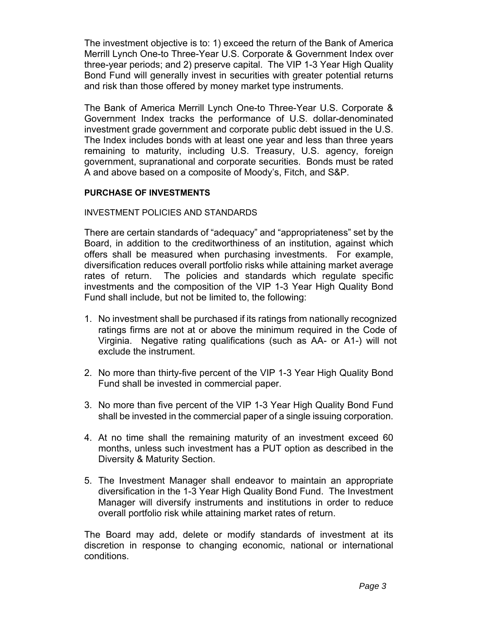The investment objective is to: 1) exceed the return of the Bank of America Merrill Lynch One-to Three-Year U.S. Corporate & Government Index over three-year periods; and 2) preserve capital. The VIP 1-3 Year High Quality Bond Fund will generally invest in securities with greater potential returns and risk than those offered by money market type instruments.

The Bank of America Merrill Lynch One-to Three-Year U.S. Corporate & Government Index tracks the performance of U.S. dollar-denominated investment grade government and corporate public debt issued in the U.S. The Index includes bonds with at least one year and less than three years remaining to maturity, including U.S. Treasury, U.S. agency, foreign government, supranational and corporate securities. Bonds must be rated A and above based on a composite of Moody's, Fitch, and S&P.

## **PURCHASE OF INVESTMENTS**

INVESTMENT POLICIES AND STANDARDS

There are certain standards of "adequacy" and "appropriateness" set by the Board, in addition to the creditworthiness of an institution, against which offers shall be measured when purchasing investments. For example, diversification reduces overall portfolio risks while attaining market average rates of return. The policies and standards which regulate specific investments and the composition of the VIP 1-3 Year High Quality Bond Fund shall include, but not be limited to, the following:

- 1. No investment shall be purchased if its ratings from nationally recognized ratings firms are not at or above the minimum required in the Code of Virginia. Negative rating qualifications (such as AA- or A1-) will not exclude the instrument.
- 2. No more than thirty-five percent of the VIP 1-3 Year High Quality Bond Fund shall be invested in commercial paper.
- 3. No more than five percent of the VIP 1-3 Year High Quality Bond Fund shall be invested in the commercial paper of a single issuing corporation.
- 4. At no time shall the remaining maturity of an investment exceed 60 months, unless such investment has a PUT option as described in the Diversity & Maturity Section.
- 5. The Investment Manager shall endeavor to maintain an appropriate diversification in the 1-3 Year High Quality Bond Fund. The Investment Manager will diversify instruments and institutions in order to reduce overall portfolio risk while attaining market rates of return.

The Board may add, delete or modify standards of investment at its discretion in response to changing economic, national or international conditions.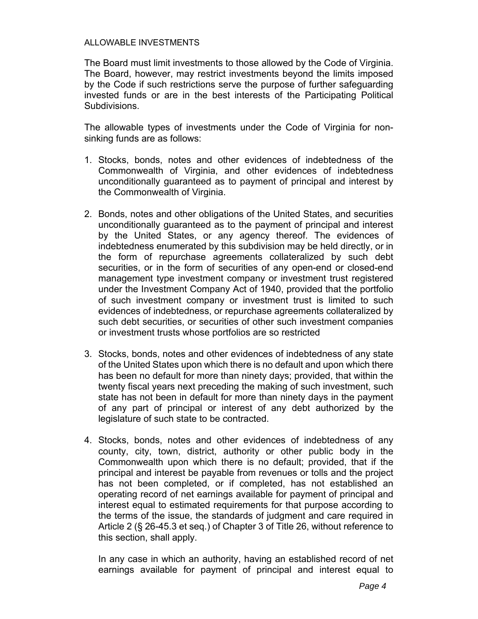## ALLOWABLE INVESTMENTS

The Board must limit investments to those allowed by the Code of Virginia. The Board, however, may restrict investments beyond the limits imposed by the Code if such restrictions serve the purpose of further safeguarding invested funds or are in the best interests of the Participating Political Subdivisions.

The allowable types of investments under the Code of Virginia for nonsinking funds are as follows:

- 1. Stocks, bonds, notes and other evidences of indebtedness of the Commonwealth of Virginia, and other evidences of indebtedness unconditionally guaranteed as to payment of principal and interest by the Commonwealth of Virginia.
- 2. Bonds, notes and other obligations of the United States, and securities unconditionally guaranteed as to the payment of principal and interest by the United States, or any agency thereof. The evidences of indebtedness enumerated by this subdivision may be held directly, or in the form of repurchase agreements collateralized by such debt securities, or in the form of securities of any open-end or closed-end management type investment company or investment trust registered under the Investment Company Act of 1940, provided that the portfolio of such investment company or investment trust is limited to such evidences of indebtedness, or repurchase agreements collateralized by such debt securities, or securities of other such investment companies or investment trusts whose portfolios are so restricted
- 3. Stocks, bonds, notes and other evidences of indebtedness of any state of the United States upon which there is no default and upon which there has been no default for more than ninety days; provided, that within the twenty fiscal years next preceding the making of such investment, such state has not been in default for more than ninety days in the payment of any part of principal or interest of any debt authorized by the legislature of such state to be contracted.
- 4. Stocks, bonds, notes and other evidences of indebtedness of any county, city, town, district, authority or other public body in the Commonwealth upon which there is no default; provided, that if the principal and interest be payable from revenues or tolls and the project has not been completed, or if completed, has not established an operating record of net earnings available for payment of principal and interest equal to estimated requirements for that purpose according to the terms of the issue, the standards of judgment and care required in Article 2 (§ 26-45.3 et seq.) of Chapter 3 of Title 26, without reference to this section, shall apply.

In any case in which an authority, having an established record of net earnings available for payment of principal and interest equal to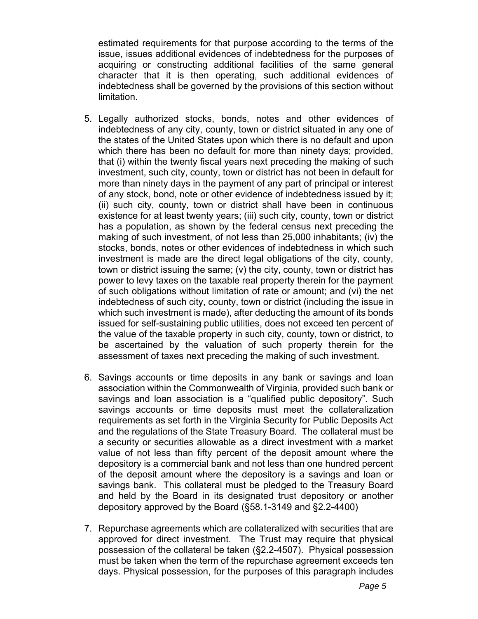estimated requirements for that purpose according to the terms of the issue, issues additional evidences of indebtedness for the purposes of acquiring or constructing additional facilities of the same general character that it is then operating, such additional evidences of indebtedness shall be governed by the provisions of this section without limitation.

- 5. Legally authorized stocks, bonds, notes and other evidences of indebtedness of any city, county, town or district situated in any one of the states of the United States upon which there is no default and upon which there has been no default for more than ninety days; provided, that (i) within the twenty fiscal years next preceding the making of such investment, such city, county, town or district has not been in default for more than ninety days in the payment of any part of principal or interest of any stock, bond, note or other evidence of indebtedness issued by it; (ii) such city, county, town or district shall have been in continuous existence for at least twenty years; (iii) such city, county, town or district has a population, as shown by the federal census next preceding the making of such investment, of not less than 25,000 inhabitants; (iv) the stocks, bonds, notes or other evidences of indebtedness in which such investment is made are the direct legal obligations of the city, county, town or district issuing the same; (v) the city, county, town or district has power to levy taxes on the taxable real property therein for the payment of such obligations without limitation of rate or amount; and (vi) the net indebtedness of such city, county, town or district (including the issue in which such investment is made), after deducting the amount of its bonds issued for self-sustaining public utilities, does not exceed ten percent of the value of the taxable property in such city, county, town or district, to be ascertained by the valuation of such property therein for the assessment of taxes next preceding the making of such investment.
- 6. Savings accounts or time deposits in any bank or savings and loan association within the Commonwealth of Virginia, provided such bank or savings and loan association is a "qualified public depository". Such savings accounts or time deposits must meet the collateralization requirements as set forth in the Virginia Security for Public Deposits Act and the regulations of the State Treasury Board. The collateral must be a security or securities allowable as a direct investment with a market value of not less than fifty percent of the deposit amount where the depository is a commercial bank and not less than one hundred percent of the deposit amount where the depository is a savings and loan or savings bank. This collateral must be pledged to the Treasury Board and held by the Board in its designated trust depository or another depository approved by the Board (§58.1-3149 and §2.2-4400)
- 7. Repurchase agreements which are collateralized with securities that are approved for direct investment. The Trust may require that physical possession of the collateral be taken (§2.2-4507). Physical possession must be taken when the term of the repurchase agreement exceeds ten days. Physical possession, for the purposes of this paragraph includes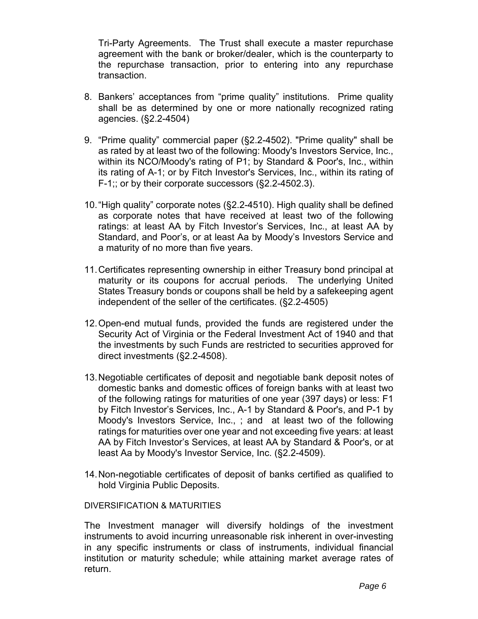Tri-Party Agreements. The Trust shall execute a master repurchase agreement with the bank or broker/dealer, which is the counterparty to the repurchase transaction, prior to entering into any repurchase transaction.

- 8. Bankers' acceptances from "prime quality" institutions. Prime quality shall be as determined by one or more nationally recognized rating agencies. (§2.2-4504)
- 9. "Prime quality" commercial paper (§2.2-4502). "Prime quality" shall be as rated by at least two of the following: Moody's Investors Service, Inc., within its NCO/Moody's rating of P1; by Standard & Poor's, Inc., within its rating of A-1; or by Fitch Investor's Services, Inc., within its rating of F-1;; or by their corporate successors (§2.2-4502.3).
- 10. "High quality" corporate notes (§2.2-4510). High quality shall be defined as corporate notes that have received at least two of the following ratings: at least AA by Fitch Investor's Services, Inc., at least AA by Standard, and Poor's, or at least Aa by Moody's Investors Service and a maturity of no more than five years.
- 11. Certificates representing ownership in either Treasury bond principal at maturity or its coupons for accrual periods. The underlying United States Treasury bonds or coupons shall be held by a safekeeping agent independent of the seller of the certificates. (§2.2-4505)
- 12. Open-end mutual funds, provided the funds are registered under the Security Act of Virginia or the Federal Investment Act of 1940 and that the investments by such Funds are restricted to securities approved for direct investments (§2.2-4508).
- 13. Negotiable certificates of deposit and negotiable bank deposit notes of domestic banks and domestic offices of foreign banks with at least two of the following ratings for maturities of one year (397 days) or less: F1 by Fitch Investor's Services, Inc., A-1 by Standard & Poor's, and P-1 by Moody's Investors Service, Inc., ; and at least two of the following ratings for maturities over one year and not exceeding five years: at least AA by Fitch Investor's Services, at least AA by Standard & Poor's, or at least Aa by Moody's Investor Service, Inc. (§2.2-4509).
- 14. Non-negotiable certificates of deposit of banks certified as qualified to hold Virginia Public Deposits.

## DIVERSIFICATION & MATURITIES

The Investment manager will diversify holdings of the investment instruments to avoid incurring unreasonable risk inherent in over-investing in any specific instruments or class of instruments, individual financial institution or maturity schedule; while attaining market average rates of return.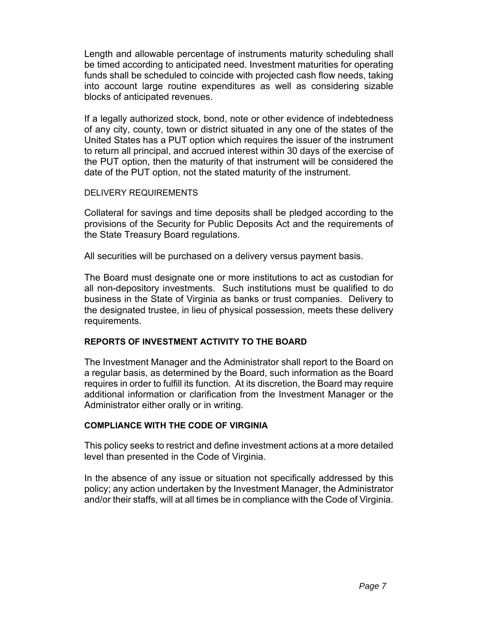Length and allowable percentage of instruments maturity scheduling shall be timed according to anticipated need. Investment maturities for operating funds shall be scheduled to coincide with projected cash flow needs, taking into account large routine expenditures as well as considering sizable blocks of anticipated revenues.

If a legally authorized stock, bond, note or other evidence of indebtedness of any city, county, town or district situated in any one of the states of the United States has a PUT option which requires the issuer of the instrument to return all principal, and accrued interest within 30 days of the exercise of the PUT option, then the maturity of that instrument will be considered the date of the PUT option, not the stated maturity of the instrument.

## DELIVERY REQUIREMENTS

Collateral for savings and time deposits shall be pledged according to the provisions of the Security for Public Deposits Act and the requirements of the State Treasury Board regulations.

All securities will be purchased on a delivery versus payment basis.

The Board must designate one or more institutions to act as custodian for all non-depository investments. Such institutions must be qualified to do business in the State of Virginia as banks or trust companies. Delivery to the designated trustee, in lieu of physical possession, meets these delivery requirements.

## **REPORTS OF INVESTMENT ACTIVITY TO THE BOARD**

The Investment Manager and the Administrator shall report to the Board on a regular basis, as determined by the Board, such information as the Board requires in order to fulfill its function. At its discretion, the Board may require additional information or clarification from the Investment Manager or the Administrator either orally or in writing.

## **COMPLIANCE WITH THE CODE OF VIRGINIA**

This policy seeks to restrict and define investment actions at a more detailed level than presented in the Code of Virginia.

In the absence of any issue or situation not specifically addressed by this policy; any action undertaken by the Investment Manager, the Administrator and/or their staffs, will at all times be in compliance with the Code of Virginia.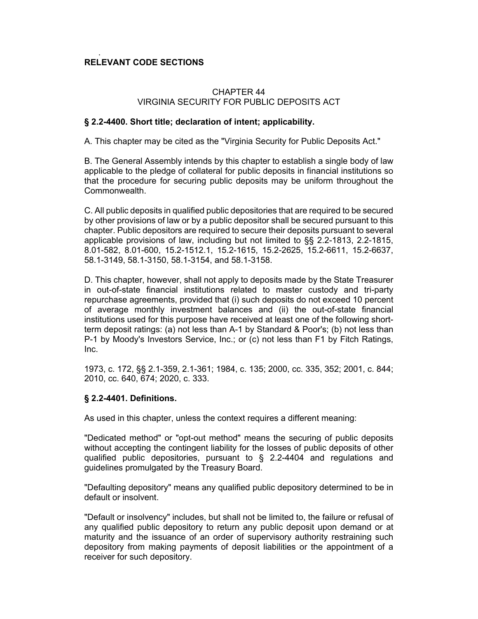#### . **RELEVANT CODE SECTIONS**

## CHAPTER 44 VIRGINIA SECURITY FOR PUBLIC DEPOSITS ACT

### **§ 2.2-4400. Short title; declaration of intent; applicability.**

A. This chapter may be cited as the "Virginia Security for Public Deposits Act."

B. The General Assembly intends by this chapter to establish a single body of law applicable to the pledge of collateral for public deposits in financial institutions so that the procedure for securing public deposits may be uniform throughout the Commonwealth.

C. All public deposits in qualified public depositories that are required to be secured by other provisions of law or by a public depositor shall be secured pursuant to this chapter. Public depositors are required to secure their deposits pursuant to several applicable provisions of law, including but not limited to §§ 2.2-1813, 2.2-1815, 8.01-582, 8.01-600, 15.2-1512.1, 15.2-1615, 15.2-2625, 15.2-6611, 15.2-6637, 58.1-3149, 58.1-3150, 58.1-3154, and 58.1-3158.

D. This chapter, however, shall not apply to deposits made by the State Treasurer in out-of-state financial institutions related to master custody and tri-party repurchase agreements, provided that (i) such deposits do not exceed 10 percent of average monthly investment balances and (ii) the out-of-state financial institutions used for this purpose have received at least one of the following shortterm deposit ratings: (a) not less than A-1 by Standard & Poor's; (b) not less than P-1 by Moody's Investors Service, Inc.; or (c) not less than F1 by Fitch Ratings, Inc.

1973, c. 172, §§ 2.1-359, 2.1-361; 1984, c. 135; 2000, cc. 335, 352; 2001, c. 844; 2010, cc. 640, 674; 2020, c. 333.

## **§ 2.2-4401. Definitions.**

As used in this chapter, unless the context requires a different meaning:

"Dedicated method" or "opt-out method" means the securing of public deposits without accepting the contingent liability for the losses of public deposits of other qualified public depositories, pursuant to § 2.2-4404 and regulations and guidelines promulgated by the Treasury Board.

"Defaulting depository" means any qualified public depository determined to be in default or insolvent.

"Default or insolvency" includes, but shall not be limited to, the failure or refusal of any qualified public depository to return any public deposit upon demand or at maturity and the issuance of an order of supervisory authority restraining such depository from making payments of deposit liabilities or the appointment of a receiver for such depository.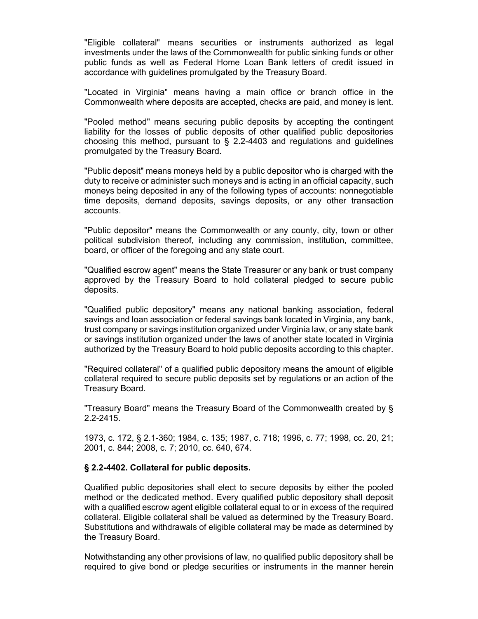"Eligible collateral" means securities or instruments authorized as legal investments under the laws of the Commonwealth for public sinking funds or other public funds as well as Federal Home Loan Bank letters of credit issued in accordance with guidelines promulgated by the Treasury Board.

"Located in Virginia" means having a main office or branch office in the Commonwealth where deposits are accepted, checks are paid, and money is lent.

"Pooled method" means securing public deposits by accepting the contingent liability for the losses of public deposits of other qualified public depositories choosing this method, pursuant to  $\S$  2.2-4403 and regulations and guidelines promulgated by the Treasury Board.

"Public deposit" means moneys held by a public depositor who is charged with the duty to receive or administer such moneys and is acting in an official capacity, such moneys being deposited in any of the following types of accounts: nonnegotiable time deposits, demand deposits, savings deposits, or any other transaction accounts.

"Public depositor" means the Commonwealth or any county, city, town or other political subdivision thereof, including any commission, institution, committee, board, or officer of the foregoing and any state court.

"Qualified escrow agent" means the State Treasurer or any bank or trust company approved by the Treasury Board to hold collateral pledged to secure public deposits.

"Qualified public depository" means any national banking association, federal savings and loan association or federal savings bank located in Virginia, any bank, trust company or savings institution organized under Virginia law, or any state bank or savings institution organized under the laws of another state located in Virginia authorized by the Treasury Board to hold public deposits according to this chapter.

"Required collateral" of a qualified public depository means the amount of eligible collateral required to secure public deposits set by regulations or an action of the Treasury Board.

"Treasury Board" means the Treasury Board of the Commonwealth created by § 2.2-2415.

1973, c. 172, § 2.1-360; 1984, c. 135; 1987, c. 718; 1996, c. 77; 1998, cc. 20, 21; 2001, c. 844; 2008, c. 7; 2010, cc. 640, 674.

#### **§ 2.2-4402. Collateral for public deposits.**

Qualified public depositories shall elect to secure deposits by either the pooled method or the dedicated method. Every qualified public depository shall deposit with a qualified escrow agent eligible collateral equal to or in excess of the required collateral. Eligible collateral shall be valued as determined by the Treasury Board. Substitutions and withdrawals of eligible collateral may be made as determined by the Treasury Board.

Notwithstanding any other provisions of law, no qualified public depository shall be required to give bond or pledge securities or instruments in the manner herein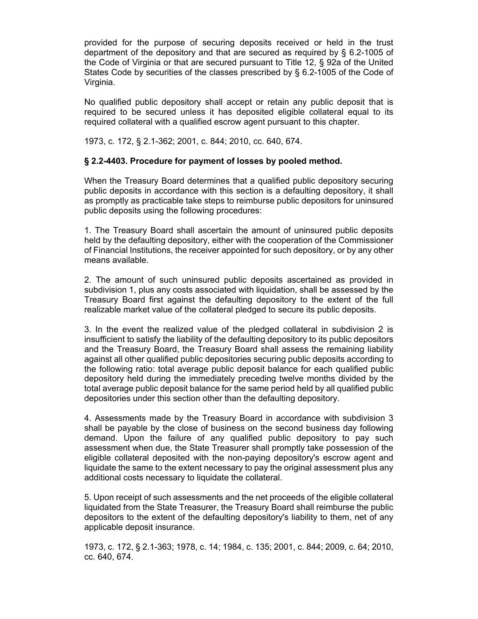provided for the purpose of securing deposits received or held in the trust department of the depository and that are secured as required by § 6.2-1005 of the Code of Virginia or that are secured pursuant to Title 12, § 92a of the United States Code by securities of the classes prescribed by § 6.2-1005 of the Code of Virginia.

No qualified public depository shall accept or retain any public deposit that is required to be secured unless it has deposited eligible collateral equal to its required collateral with a qualified escrow agent pursuant to this chapter.

1973, c. 172, § 2.1-362; 2001, c. 844; 2010, cc. 640, 674.

## **§ 2.2-4403. Procedure for payment of losses by pooled method.**

When the Treasury Board determines that a qualified public depository securing public deposits in accordance with this section is a defaulting depository, it shall as promptly as practicable take steps to reimburse public depositors for uninsured public deposits using the following procedures:

1. The Treasury Board shall ascertain the amount of uninsured public deposits held by the defaulting depository, either with the cooperation of the Commissioner of Financial Institutions, the receiver appointed for such depository, or by any other means available.

2. The amount of such uninsured public deposits ascertained as provided in subdivision 1, plus any costs associated with liquidation, shall be assessed by the Treasury Board first against the defaulting depository to the extent of the full realizable market value of the collateral pledged to secure its public deposits.

3. In the event the realized value of the pledged collateral in subdivision 2 is insufficient to satisfy the liability of the defaulting depository to its public depositors and the Treasury Board, the Treasury Board shall assess the remaining liability against all other qualified public depositories securing public deposits according to the following ratio: total average public deposit balance for each qualified public depository held during the immediately preceding twelve months divided by the total average public deposit balance for the same period held by all qualified public depositories under this section other than the defaulting depository.

4. Assessments made by the Treasury Board in accordance with subdivision 3 shall be payable by the close of business on the second business day following demand. Upon the failure of any qualified public depository to pay such assessment when due, the State Treasurer shall promptly take possession of the eligible collateral deposited with the non-paying depository's escrow agent and liquidate the same to the extent necessary to pay the original assessment plus any additional costs necessary to liquidate the collateral.

5. Upon receipt of such assessments and the net proceeds of the eligible collateral liquidated from the State Treasurer, the Treasury Board shall reimburse the public depositors to the extent of the defaulting depository's liability to them, net of any applicable deposit insurance.

1973, c. 172, § 2.1-363; 1978, c. 14; 1984, c. 135; 2001, c. 844; 2009, c. 64; 2010, cc. 640, 674.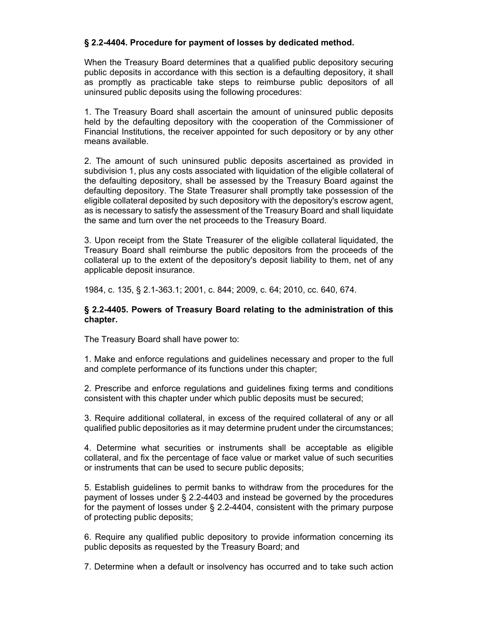## **§ 2.2-4404. Procedure for payment of losses by dedicated method.**

When the Treasury Board determines that a qualified public depository securing public deposits in accordance with this section is a defaulting depository, it shall as promptly as practicable take steps to reimburse public depositors of all uninsured public deposits using the following procedures:

1. The Treasury Board shall ascertain the amount of uninsured public deposits held by the defaulting depository with the cooperation of the Commissioner of Financial Institutions, the receiver appointed for such depository or by any other means available.

2. The amount of such uninsured public deposits ascertained as provided in subdivision 1, plus any costs associated with liquidation of the eligible collateral of the defaulting depository, shall be assessed by the Treasury Board against the defaulting depository. The State Treasurer shall promptly take possession of the eligible collateral deposited by such depository with the depository's escrow agent, as is necessary to satisfy the assessment of the Treasury Board and shall liquidate the same and turn over the net proceeds to the Treasury Board.

3. Upon receipt from the State Treasurer of the eligible collateral liquidated, the Treasury Board shall reimburse the public depositors from the proceeds of the collateral up to the extent of the depository's deposit liability to them, net of any applicable deposit insurance.

1984, c. 135, § 2.1-363.1; 2001, c. 844; 2009, c. 64; 2010, cc. 640, 674.

#### **§ 2.2-4405. Powers of Treasury Board relating to the administration of this chapter.**

The Treasury Board shall have power to:

1. Make and enforce regulations and guidelines necessary and proper to the full and complete performance of its functions under this chapter;

2. Prescribe and enforce regulations and guidelines fixing terms and conditions consistent with this chapter under which public deposits must be secured;

3. Require additional collateral, in excess of the required collateral of any or all qualified public depositories as it may determine prudent under the circumstances;

4. Determine what securities or instruments shall be acceptable as eligible collateral, and fix the percentage of face value or market value of such securities or instruments that can be used to secure public deposits;

5. Establish guidelines to permit banks to withdraw from the procedures for the payment of losses under § 2.2-4403 and instead be governed by the procedures for the payment of losses under § 2.2-4404, consistent with the primary purpose of protecting public deposits;

6. Require any qualified public depository to provide information concerning its public deposits as requested by the Treasury Board; and

7. Determine when a default or insolvency has occurred and to take such action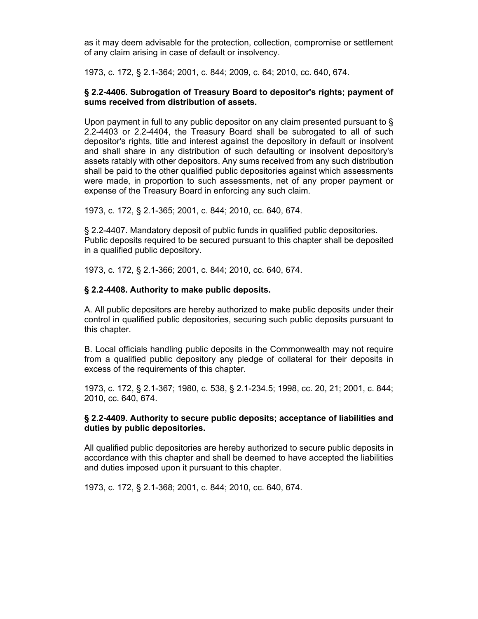as it may deem advisable for the protection, collection, compromise or settlement of any claim arising in case of default or insolvency.

1973, c. 172, § 2.1-364; 2001, c. 844; 2009, c. 64; 2010, cc. 640, 674.

#### **§ 2.2-4406. Subrogation of Treasury Board to depositor's rights; payment of sums received from distribution of assets.**

Upon payment in full to any public depositor on any claim presented pursuant to § 2.2-4403 or 2.2-4404, the Treasury Board shall be subrogated to all of such depositor's rights, title and interest against the depository in default or insolvent and shall share in any distribution of such defaulting or insolvent depository's assets ratably with other depositors. Any sums received from any such distribution shall be paid to the other qualified public depositories against which assessments were made, in proportion to such assessments, net of any proper payment or expense of the Treasury Board in enforcing any such claim.

1973, c. 172, § 2.1-365; 2001, c. 844; 2010, cc. 640, 674.

§ 2.2-4407. Mandatory deposit of public funds in qualified public depositories. Public deposits required to be secured pursuant to this chapter shall be deposited in a qualified public depository.

1973, c. 172, § 2.1-366; 2001, c. 844; 2010, cc. 640, 674.

#### **§ 2.2-4408. Authority to make public deposits.**

A. All public depositors are hereby authorized to make public deposits under their control in qualified public depositories, securing such public deposits pursuant to this chapter.

B. Local officials handling public deposits in the Commonwealth may not require from a qualified public depository any pledge of collateral for their deposits in excess of the requirements of this chapter.

1973, c. 172, § 2.1-367; 1980, c. 538, § 2.1-234.5; 1998, cc. 20, 21; 2001, c. 844; 2010, cc. 640, 674.

#### **§ 2.2-4409. Authority to secure public deposits; acceptance of liabilities and duties by public depositories.**

All qualified public depositories are hereby authorized to secure public deposits in accordance with this chapter and shall be deemed to have accepted the liabilities and duties imposed upon it pursuant to this chapter.

1973, c. 172, § 2.1-368; 2001, c. 844; 2010, cc. 640, 674.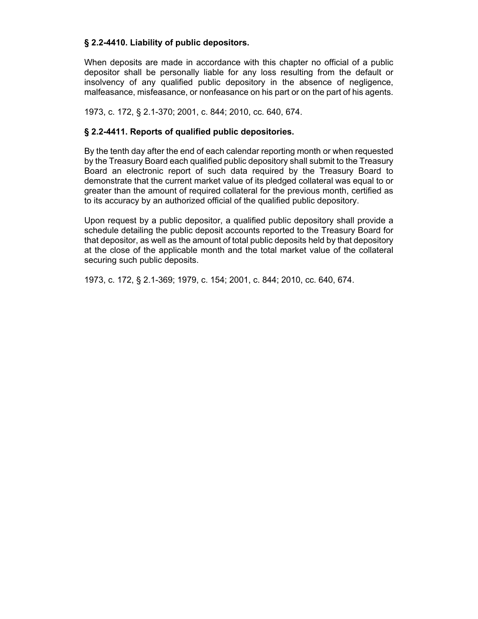## **§ 2.2-4410. Liability of public depositors.**

When deposits are made in accordance with this chapter no official of a public depositor shall be personally liable for any loss resulting from the default or insolvency of any qualified public depository in the absence of negligence, malfeasance, misfeasance, or nonfeasance on his part or on the part of his agents.

1973, c. 172, § 2.1-370; 2001, c. 844; 2010, cc. 640, 674.

## **§ 2.2-4411. Reports of qualified public depositories.**

By the tenth day after the end of each calendar reporting month or when requested by the Treasury Board each qualified public depository shall submit to the Treasury Board an electronic report of such data required by the Treasury Board to demonstrate that the current market value of its pledged collateral was equal to or greater than the amount of required collateral for the previous month, certified as to its accuracy by an authorized official of the qualified public depository.

Upon request by a public depositor, a qualified public depository shall provide a schedule detailing the public deposit accounts reported to the Treasury Board for that depositor, as well as the amount of total public deposits held by that depository at the close of the applicable month and the total market value of the collateral securing such public deposits.

1973, c. 172, § 2.1-369; 1979, c. 154; 2001, c. 844; 2010, cc. 640, 674.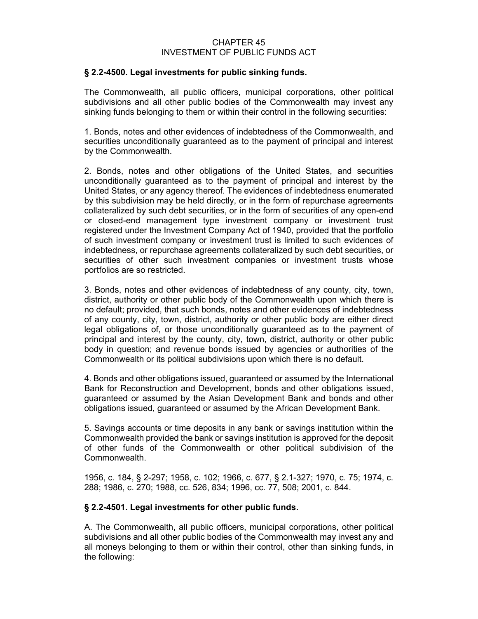#### CHAPTER 45 INVESTMENT OF PUBLIC FUNDS ACT

#### **§ 2.2-4500. Legal investments for public sinking funds.**

The Commonwealth, all public officers, municipal corporations, other political subdivisions and all other public bodies of the Commonwealth may invest any sinking funds belonging to them or within their control in the following securities:

1. Bonds, notes and other evidences of indebtedness of the Commonwealth, and securities unconditionally guaranteed as to the payment of principal and interest by the Commonwealth.

2. Bonds, notes and other obligations of the United States, and securities unconditionally guaranteed as to the payment of principal and interest by the United States, or any agency thereof. The evidences of indebtedness enumerated by this subdivision may be held directly, or in the form of repurchase agreements collateralized by such debt securities, or in the form of securities of any open-end or closed-end management type investment company or investment trust registered under the Investment Company Act of 1940, provided that the portfolio of such investment company or investment trust is limited to such evidences of indebtedness, or repurchase agreements collateralized by such debt securities, or securities of other such investment companies or investment trusts whose portfolios are so restricted.

3. Bonds, notes and other evidences of indebtedness of any county, city, town, district, authority or other public body of the Commonwealth upon which there is no default; provided, that such bonds, notes and other evidences of indebtedness of any county, city, town, district, authority or other public body are either direct legal obligations of, or those unconditionally guaranteed as to the payment of principal and interest by the county, city, town, district, authority or other public body in question; and revenue bonds issued by agencies or authorities of the Commonwealth or its political subdivisions upon which there is no default.

4. Bonds and other obligations issued, guaranteed or assumed by the International Bank for Reconstruction and Development, bonds and other obligations issued, guaranteed or assumed by the Asian Development Bank and bonds and other obligations issued, guaranteed or assumed by the African Development Bank.

5. Savings accounts or time deposits in any bank or savings institution within the Commonwealth provided the bank or savings institution is approved for the deposit of other funds of the Commonwealth or other political subdivision of the Commonwealth.

1956, c. 184, § 2-297; 1958, c. 102; 1966, c. 677, § 2.1-327; 1970, c. 75; 1974, c. 288; 1986, c. 270; 1988, cc. 526, 834; 1996, cc. 77, 508; 2001, c. 844.

## **§ 2.2-4501. Legal investments for other public funds.**

A. The Commonwealth, all public officers, municipal corporations, other political subdivisions and all other public bodies of the Commonwealth may invest any and all moneys belonging to them or within their control, other than sinking funds, in the following: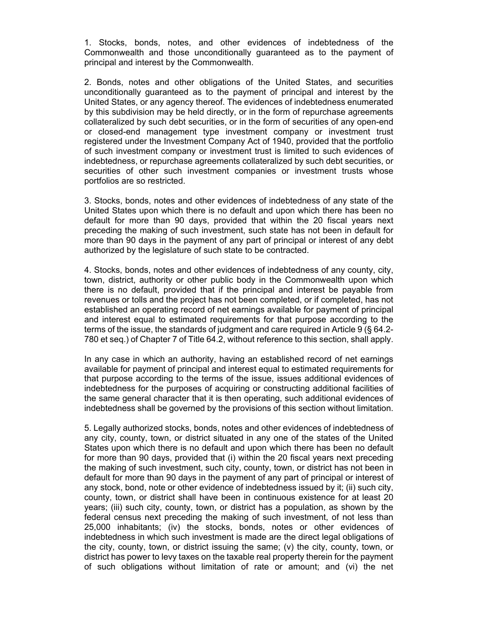1. Stocks, bonds, notes, and other evidences of indebtedness of the Commonwealth and those unconditionally guaranteed as to the payment of principal and interest by the Commonwealth.

2. Bonds, notes and other obligations of the United States, and securities unconditionally guaranteed as to the payment of principal and interest by the United States, or any agency thereof. The evidences of indebtedness enumerated by this subdivision may be held directly, or in the form of repurchase agreements collateralized by such debt securities, or in the form of securities of any open-end or closed-end management type investment company or investment trust registered under the Investment Company Act of 1940, provided that the portfolio of such investment company or investment trust is limited to such evidences of indebtedness, or repurchase agreements collateralized by such debt securities, or securities of other such investment companies or investment trusts whose portfolios are so restricted.

3. Stocks, bonds, notes and other evidences of indebtedness of any state of the United States upon which there is no default and upon which there has been no default for more than 90 days, provided that within the 20 fiscal years next preceding the making of such investment, such state has not been in default for more than 90 days in the payment of any part of principal or interest of any debt authorized by the legislature of such state to be contracted.

4. Stocks, bonds, notes and other evidences of indebtedness of any county, city, town, district, authority or other public body in the Commonwealth upon which there is no default, provided that if the principal and interest be payable from revenues or tolls and the project has not been completed, or if completed, has not established an operating record of net earnings available for payment of principal and interest equal to estimated requirements for that purpose according to the terms of the issue, the standards of judgment and care required in Article 9 (§ 64.2- 780 et seq.) of Chapter 7 of Title 64.2, without reference to this section, shall apply.

In any case in which an authority, having an established record of net earnings available for payment of principal and interest equal to estimated requirements for that purpose according to the terms of the issue, issues additional evidences of indebtedness for the purposes of acquiring or constructing additional facilities of the same general character that it is then operating, such additional evidences of indebtedness shall be governed by the provisions of this section without limitation.

5. Legally authorized stocks, bonds, notes and other evidences of indebtedness of any city, county, town, or district situated in any one of the states of the United States upon which there is no default and upon which there has been no default for more than 90 days, provided that (i) within the 20 fiscal years next preceding the making of such investment, such city, county, town, or district has not been in default for more than 90 days in the payment of any part of principal or interest of any stock, bond, note or other evidence of indebtedness issued by it; (ii) such city, county, town, or district shall have been in continuous existence for at least 20 years; (iii) such city, county, town, or district has a population, as shown by the federal census next preceding the making of such investment, of not less than 25,000 inhabitants; (iv) the stocks, bonds, notes or other evidences of indebtedness in which such investment is made are the direct legal obligations of the city, county, town, or district issuing the same; (v) the city, county, town, or district has power to levy taxes on the taxable real property therein for the payment of such obligations without limitation of rate or amount; and (vi) the net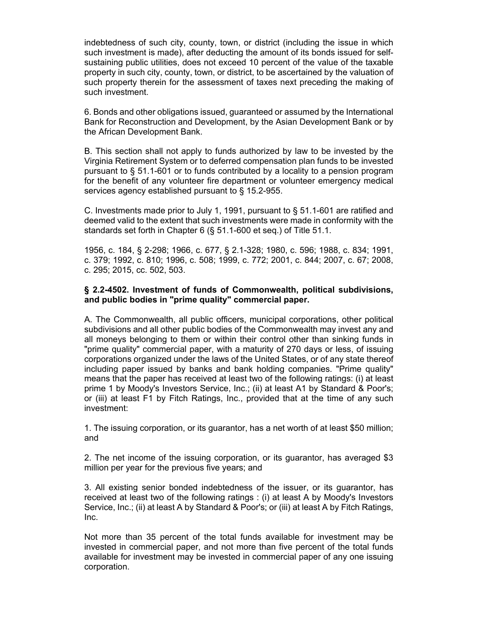indebtedness of such city, county, town, or district (including the issue in which such investment is made), after deducting the amount of its bonds issued for selfsustaining public utilities, does not exceed 10 percent of the value of the taxable property in such city, county, town, or district, to be ascertained by the valuation of such property therein for the assessment of taxes next preceding the making of such investment.

6. Bonds and other obligations issued, guaranteed or assumed by the International Bank for Reconstruction and Development, by the Asian Development Bank or by the African Development Bank.

B. This section shall not apply to funds authorized by law to be invested by the Virginia Retirement System or to deferred compensation plan funds to be invested pursuant to § 51.1-601 or to funds contributed by a locality to a pension program for the benefit of any volunteer fire department or volunteer emergency medical services agency established pursuant to § 15.2-955.

C. Investments made prior to July 1, 1991, pursuant to  $\S$  51.1-601 are ratified and deemed valid to the extent that such investments were made in conformity with the standards set forth in Chapter 6 (§ 51.1-600 et seq.) of Title 51.1.

1956, c. 184, § 2-298; 1966, c. 677, § 2.1-328; 1980, c. 596; 1988, c. 834; 1991, c. 379; 1992, c. 810; 1996, c. 508; 1999, c. 772; 2001, c. 844; 2007, c. 67; 2008, c. 295; 2015, cc. 502, 503.

#### **§ 2.2-4502. Investment of funds of Commonwealth, political subdivisions, and public bodies in "prime quality" commercial paper.**

A. The Commonwealth, all public officers, municipal corporations, other political subdivisions and all other public bodies of the Commonwealth may invest any and all moneys belonging to them or within their control other than sinking funds in "prime quality" commercial paper, with a maturity of 270 days or less, of issuing corporations organized under the laws of the United States, or of any state thereof including paper issued by banks and bank holding companies. "Prime quality" means that the paper has received at least two of the following ratings: (i) at least prime 1 by Moody's Investors Service, Inc.; (ii) at least A1 by Standard & Poor's; or (iii) at least F1 by Fitch Ratings, Inc., provided that at the time of any such investment:

1. The issuing corporation, or its guarantor, has a net worth of at least \$50 million; and

2. The net income of the issuing corporation, or its guarantor, has averaged \$3 million per year for the previous five years; and

3. All existing senior bonded indebtedness of the issuer, or its guarantor, has received at least two of the following ratings : (i) at least A by Moody's Investors Service, Inc.; (ii) at least A by Standard & Poor's; or (iii) at least A by Fitch Ratings, Inc.

Not more than 35 percent of the total funds available for investment may be invested in commercial paper, and not more than five percent of the total funds available for investment may be invested in commercial paper of any one issuing corporation.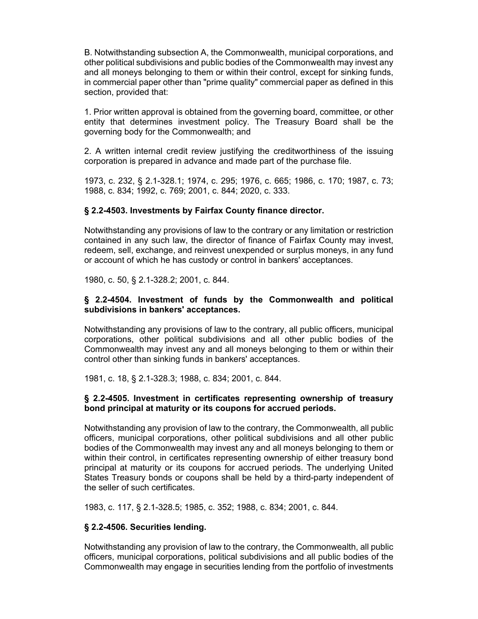B. Notwithstanding subsection A, the Commonwealth, municipal corporations, and other political subdivisions and public bodies of the Commonwealth may invest any and all moneys belonging to them or within their control, except for sinking funds, in commercial paper other than "prime quality" commercial paper as defined in this section, provided that:

1. Prior written approval is obtained from the governing board, committee, or other entity that determines investment policy. The Treasury Board shall be the governing body for the Commonwealth; and

2. A written internal credit review justifying the creditworthiness of the issuing corporation is prepared in advance and made part of the purchase file.

1973, c. 232, § 2.1-328.1; 1974, c. 295; 1976, c. 665; 1986, c. 170; 1987, c. 73; 1988, c. 834; 1992, c. 769; 2001, c. 844; 2020, c. 333.

### **§ 2.2-4503. Investments by Fairfax County finance director.**

Notwithstanding any provisions of law to the contrary or any limitation or restriction contained in any such law, the director of finance of Fairfax County may invest, redeem, sell, exchange, and reinvest unexpended or surplus moneys, in any fund or account of which he has custody or control in bankers' acceptances.

1980, c. 50, § 2.1-328.2; 2001, c. 844.

#### **§ 2.2-4504. Investment of funds by the Commonwealth and political subdivisions in bankers' acceptances.**

Notwithstanding any provisions of law to the contrary, all public officers, municipal corporations, other political subdivisions and all other public bodies of the Commonwealth may invest any and all moneys belonging to them or within their control other than sinking funds in bankers' acceptances.

1981, c. 18, § 2.1-328.3; 1988, c. 834; 2001, c. 844.

#### **§ 2.2-4505. Investment in certificates representing ownership of treasury bond principal at maturity or its coupons for accrued periods.**

Notwithstanding any provision of law to the contrary, the Commonwealth, all public officers, municipal corporations, other political subdivisions and all other public bodies of the Commonwealth may invest any and all moneys belonging to them or within their control, in certificates representing ownership of either treasury bond principal at maturity or its coupons for accrued periods. The underlying United States Treasury bonds or coupons shall be held by a third-party independent of the seller of such certificates.

1983, c. 117, § 2.1-328.5; 1985, c. 352; 1988, c. 834; 2001, c. 844.

#### **§ 2.2-4506. Securities lending.**

Notwithstanding any provision of law to the contrary, the Commonwealth, all public officers, municipal corporations, political subdivisions and all public bodies of the Commonwealth may engage in securities lending from the portfolio of investments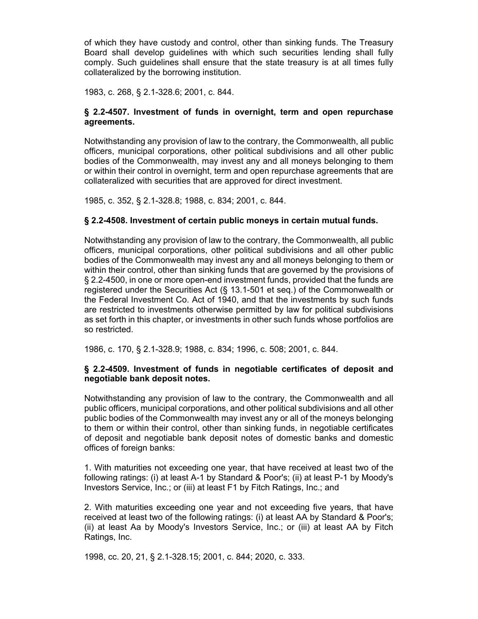of which they have custody and control, other than sinking funds. The Treasury Board shall develop guidelines with which such securities lending shall fully comply. Such guidelines shall ensure that the state treasury is at all times fully collateralized by the borrowing institution.

1983, c. 268, § 2.1-328.6; 2001, c. 844.

### **§ 2.2-4507. Investment of funds in overnight, term and open repurchase agreements.**

Notwithstanding any provision of law to the contrary, the Commonwealth, all public officers, municipal corporations, other political subdivisions and all other public bodies of the Commonwealth, may invest any and all moneys belonging to them or within their control in overnight, term and open repurchase agreements that are collateralized with securities that are approved for direct investment.

1985, c. 352, § 2.1-328.8; 1988, c. 834; 2001, c. 844.

#### **§ 2.2-4508. Investment of certain public moneys in certain mutual funds.**

Notwithstanding any provision of law to the contrary, the Commonwealth, all public officers, municipal corporations, other political subdivisions and all other public bodies of the Commonwealth may invest any and all moneys belonging to them or within their control, other than sinking funds that are governed by the provisions of § 2.2-4500, in one or more open-end investment funds, provided that the funds are registered under the Securities Act (§ 13.1-501 et seq.) of the Commonwealth or the Federal Investment Co. Act of 1940, and that the investments by such funds are restricted to investments otherwise permitted by law for political subdivisions as set forth in this chapter, or investments in other such funds whose portfolios are so restricted.

1986, c. 170, § 2.1-328.9; 1988, c. 834; 1996, c. 508; 2001, c. 844.

#### **§ 2.2-4509. Investment of funds in negotiable certificates of deposit and negotiable bank deposit notes.**

Notwithstanding any provision of law to the contrary, the Commonwealth and all public officers, municipal corporations, and other political subdivisions and all other public bodies of the Commonwealth may invest any or all of the moneys belonging to them or within their control, other than sinking funds, in negotiable certificates of deposit and negotiable bank deposit notes of domestic banks and domestic offices of foreign banks:

1. With maturities not exceeding one year, that have received at least two of the following ratings: (i) at least A-1 by Standard & Poor's; (ii) at least P-1 by Moody's Investors Service, Inc.; or (iii) at least F1 by Fitch Ratings, Inc.; and

2. With maturities exceeding one year and not exceeding five years, that have received at least two of the following ratings: (i) at least AA by Standard & Poor's; (ii) at least Aa by Moody's Investors Service, Inc.; or (iii) at least AA by Fitch Ratings, Inc.

1998, cc. 20, 21, § 2.1-328.15; 2001, c. 844; 2020, c. 333.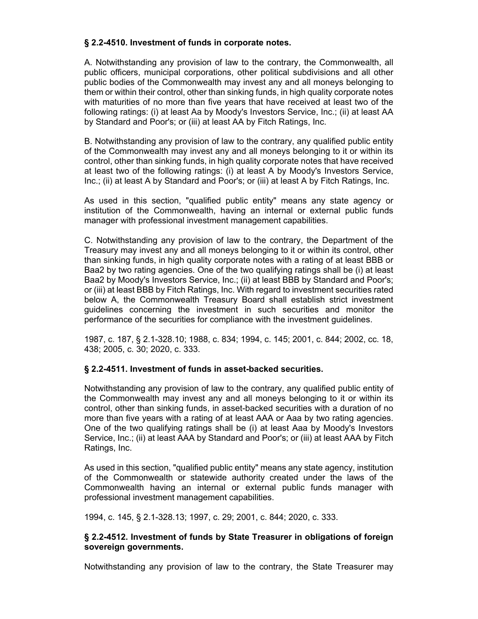## **§ 2.2-4510. Investment of funds in corporate notes.**

A. Notwithstanding any provision of law to the contrary, the Commonwealth, all public officers, municipal corporations, other political subdivisions and all other public bodies of the Commonwealth may invest any and all moneys belonging to them or within their control, other than sinking funds, in high quality corporate notes with maturities of no more than five years that have received at least two of the following ratings: (i) at least Aa by Moody's Investors Service, Inc.; (ii) at least AA by Standard and Poor's; or (iii) at least AA by Fitch Ratings, Inc.

B. Notwithstanding any provision of law to the contrary, any qualified public entity of the Commonwealth may invest any and all moneys belonging to it or within its control, other than sinking funds, in high quality corporate notes that have received at least two of the following ratings: (i) at least A by Moody's Investors Service, Inc.; (ii) at least A by Standard and Poor's; or (iii) at least A by Fitch Ratings, Inc.

As used in this section, "qualified public entity" means any state agency or institution of the Commonwealth, having an internal or external public funds manager with professional investment management capabilities.

C. Notwithstanding any provision of law to the contrary, the Department of the Treasury may invest any and all moneys belonging to it or within its control, other than sinking funds, in high quality corporate notes with a rating of at least BBB or Baa2 by two rating agencies. One of the two qualifying ratings shall be (i) at least Baa2 by Moody's Investors Service, Inc.; (ii) at least BBB by Standard and Poor's; or (iii) at least BBB by Fitch Ratings, Inc. With regard to investment securities rated below A, the Commonwealth Treasury Board shall establish strict investment guidelines concerning the investment in such securities and monitor the performance of the securities for compliance with the investment guidelines.

1987, c. 187, § 2.1-328.10; 1988, c. 834; 1994, c. 145; 2001, c. 844; 2002, cc. 18, 438; 2005, c. 30; 2020, c. 333.

## **§ 2.2-4511. Investment of funds in asset-backed securities.**

Notwithstanding any provision of law to the contrary, any qualified public entity of the Commonwealth may invest any and all moneys belonging to it or within its control, other than sinking funds, in asset-backed securities with a duration of no more than five years with a rating of at least AAA or Aaa by two rating agencies. One of the two qualifying ratings shall be (i) at least Aaa by Moody's Investors Service, Inc.; (ii) at least AAA by Standard and Poor's; or (iii) at least AAA by Fitch Ratings, Inc.

As used in this section, "qualified public entity" means any state agency, institution of the Commonwealth or statewide authority created under the laws of the Commonwealth having an internal or external public funds manager with professional investment management capabilities.

1994, c. 145, § 2.1-328.13; 1997, c. 29; 2001, c. 844; 2020, c. 333.

## **§ 2.2-4512. Investment of funds by State Treasurer in obligations of foreign sovereign governments.**

Notwithstanding any provision of law to the contrary, the State Treasurer may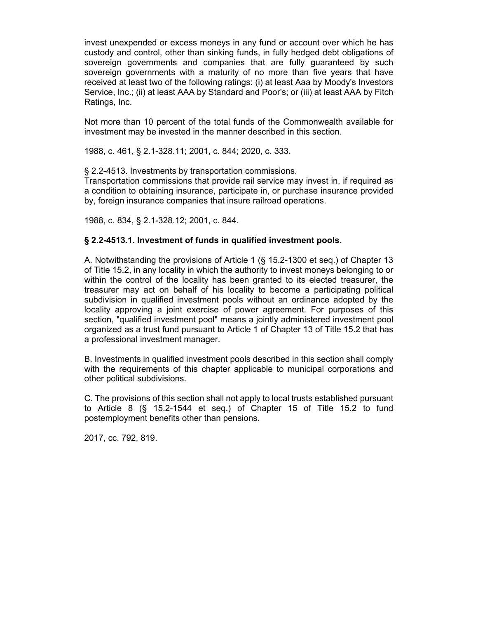invest unexpended or excess moneys in any fund or account over which he has custody and control, other than sinking funds, in fully hedged debt obligations of sovereign governments and companies that are fully guaranteed by such sovereign governments with a maturity of no more than five years that have received at least two of the following ratings: (i) at least Aaa by Moody's Investors Service, Inc.; (ii) at least AAA by Standard and Poor's; or (iii) at least AAA by Fitch Ratings, Inc.

Not more than 10 percent of the total funds of the Commonwealth available for investment may be invested in the manner described in this section.

1988, c. 461, § 2.1-328.11; 2001, c. 844; 2020, c. 333.

§ 2.2-4513. Investments by transportation commissions.

Transportation commissions that provide rail service may invest in, if required as a condition to obtaining insurance, participate in, or purchase insurance provided by, foreign insurance companies that insure railroad operations.

1988, c. 834, § 2.1-328.12; 2001, c. 844.

## **§ 2.2-4513.1. Investment of funds in qualified investment pools.**

A. Notwithstanding the provisions of Article 1 (§ 15.2-1300 et seq.) of Chapter 13 of Title 15.2, in any locality in which the authority to invest moneys belonging to or within the control of the locality has been granted to its elected treasurer, the treasurer may act on behalf of his locality to become a participating political subdivision in qualified investment pools without an ordinance adopted by the locality approving a joint exercise of power agreement. For purposes of this section, "qualified investment pool" means a jointly administered investment pool organized as a trust fund pursuant to Article 1 of Chapter 13 of Title 15.2 that has a professional investment manager.

B. Investments in qualified investment pools described in this section shall comply with the requirements of this chapter applicable to municipal corporations and other political subdivisions.

C. The provisions of this section shall not apply to local trusts established pursuant to Article 8 (§ 15.2-1544 et seq.) of Chapter 15 of Title 15.2 to fund postemployment benefits other than pensions.

2017, cc. 792, 819.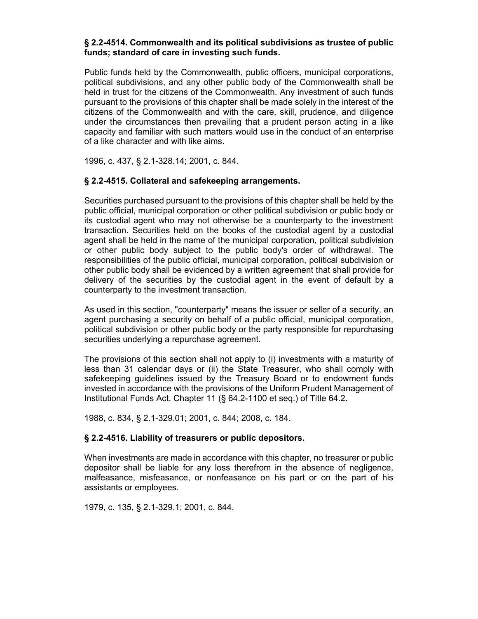### **§ 2.2-4514. Commonwealth and its political subdivisions as trustee of public funds; standard of care in investing such funds.**

Public funds held by the Commonwealth, public officers, municipal corporations, political subdivisions, and any other public body of the Commonwealth shall be held in trust for the citizens of the Commonwealth. Any investment of such funds pursuant to the provisions of this chapter shall be made solely in the interest of the citizens of the Commonwealth and with the care, skill, prudence, and diligence under the circumstances then prevailing that a prudent person acting in a like capacity and familiar with such matters would use in the conduct of an enterprise of a like character and with like aims.

1996, c. 437, § 2.1-328.14; 2001, c. 844.

## **§ 2.2-4515. Collateral and safekeeping arrangements.**

Securities purchased pursuant to the provisions of this chapter shall be held by the public official, municipal corporation or other political subdivision or public body or its custodial agent who may not otherwise be a counterparty to the investment transaction. Securities held on the books of the custodial agent by a custodial agent shall be held in the name of the municipal corporation, political subdivision or other public body subject to the public body's order of withdrawal. The responsibilities of the public official, municipal corporation, political subdivision or other public body shall be evidenced by a written agreement that shall provide for delivery of the securities by the custodial agent in the event of default by a counterparty to the investment transaction.

As used in this section, "counterparty" means the issuer or seller of a security, an agent purchasing a security on behalf of a public official, municipal corporation, political subdivision or other public body or the party responsible for repurchasing securities underlying a repurchase agreement.

The provisions of this section shall not apply to (i) investments with a maturity of less than 31 calendar days or (ii) the State Treasurer, who shall comply with safekeeping guidelines issued by the Treasury Board or to endowment funds invested in accordance with the provisions of the Uniform Prudent Management of Institutional Funds Act, Chapter 11 (§ 64.2-1100 et seq.) of Title 64.2.

1988, c. 834, § 2.1-329.01; 2001, c. 844; 2008, c. 184.

## **§ 2.2-4516. Liability of treasurers or public depositors.**

When investments are made in accordance with this chapter, no treasurer or public depositor shall be liable for any loss therefrom in the absence of negligence, malfeasance, misfeasance, or nonfeasance on his part or on the part of his assistants or employees.

1979, c. 135, § 2.1-329.1; 2001, c. 844.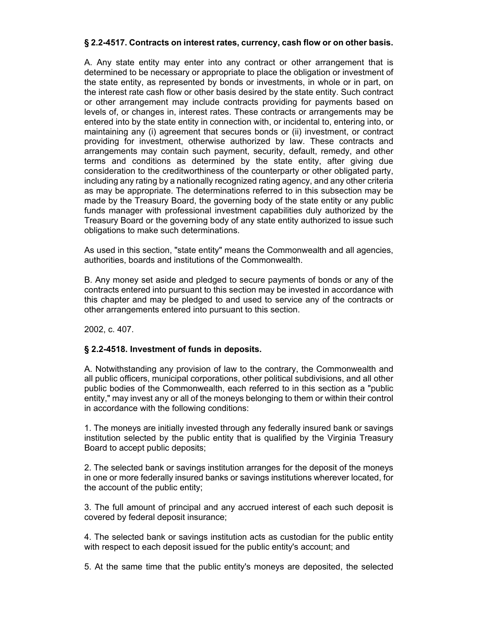## **§ 2.2-4517. Contracts on interest rates, currency, cash flow or on other basis.**

A. Any state entity may enter into any contract or other arrangement that is determined to be necessary or appropriate to place the obligation or investment of the state entity, as represented by bonds or investments, in whole or in part, on the interest rate cash flow or other basis desired by the state entity. Such contract or other arrangement may include contracts providing for payments based on levels of, or changes in, interest rates. These contracts or arrangements may be entered into by the state entity in connection with, or incidental to, entering into, or maintaining any (i) agreement that secures bonds or (ii) investment, or contract providing for investment, otherwise authorized by law. These contracts and arrangements may contain such payment, security, default, remedy, and other terms and conditions as determined by the state entity, after giving due consideration to the creditworthiness of the counterparty or other obligated party, including any rating by a nationally recognized rating agency, and any other criteria as may be appropriate. The determinations referred to in this subsection may be made by the Treasury Board, the governing body of the state entity or any public funds manager with professional investment capabilities duly authorized by the Treasury Board or the governing body of any state entity authorized to issue such obligations to make such determinations.

As used in this section, "state entity" means the Commonwealth and all agencies, authorities, boards and institutions of the Commonwealth.

B. Any money set aside and pledged to secure payments of bonds or any of the contracts entered into pursuant to this section may be invested in accordance with this chapter and may be pledged to and used to service any of the contracts or other arrangements entered into pursuant to this section.

2002, c. 407.

#### **§ 2.2-4518. Investment of funds in deposits.**

A. Notwithstanding any provision of law to the contrary, the Commonwealth and all public officers, municipal corporations, other political subdivisions, and all other public bodies of the Commonwealth, each referred to in this section as a "public entity," may invest any or all of the moneys belonging to them or within their control in accordance with the following conditions:

1. The moneys are initially invested through any federally insured bank or savings institution selected by the public entity that is qualified by the Virginia Treasury Board to accept public deposits;

2. The selected bank or savings institution arranges for the deposit of the moneys in one or more federally insured banks or savings institutions wherever located, for the account of the public entity;

3. The full amount of principal and any accrued interest of each such deposit is covered by federal deposit insurance;

4. The selected bank or savings institution acts as custodian for the public entity with respect to each deposit issued for the public entity's account; and

5. At the same time that the public entity's moneys are deposited, the selected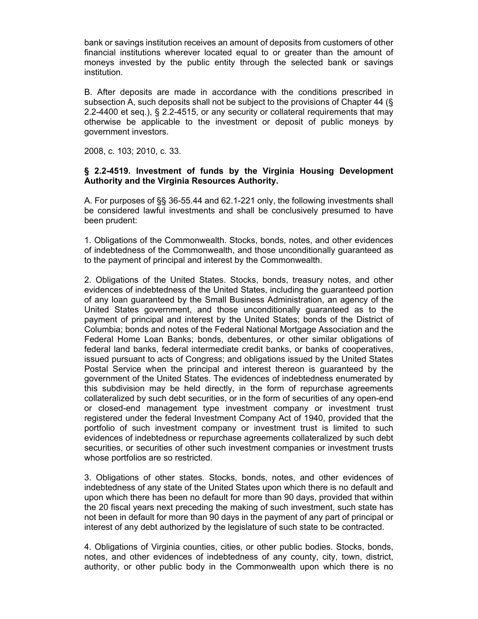bank or savings institution receives an amount of deposits from customers of other financial institutions wherever located equal to or greater than the amount of moneys invested by the public entity through the selected bank or savings institution.

B. After deposits are made in accordance with the conditions prescribed in subsection A, such deposits shall not be subject to the provisions of Chapter 44 (§ 2.2-4400 et seq.), § 2.2-4515, or any security or collateral requirements that may otherwise be applicable to the investment or deposit of public moneys by government investors.

2008, c. 103; 2010, c. 33.

#### **§ 2.2-4519. Investment of funds by the Virginia Housing Development Authority and the Virginia Resources Authority.**

A. For purposes of §§ 36-55.44 and 62.1-221 only, the following investments shall be considered lawful investments and shall be conclusively presumed to have been prudent:

1. Obligations of the Commonwealth. Stocks, bonds, notes, and other evidences of indebtedness of the Commonwealth, and those unconditionally guaranteed as to the payment of principal and interest by the Commonwealth.

2. Obligations of the United States. Stocks, bonds, treasury notes, and other evidences of indebtedness of the United States, including the guaranteed portion of any loan guaranteed by the Small Business Administration, an agency of the United States government, and those unconditionally guaranteed as to the payment of principal and interest by the United States; bonds of the District of Columbia; bonds and notes of the Federal National Mortgage Association and the Federal Home Loan Banks; bonds, debentures, or other similar obligations of federal land banks, federal intermediate credit banks, or banks of cooperatives, issued pursuant to acts of Congress; and obligations issued by the United States Postal Service when the principal and interest thereon is guaranteed by the government of the United States. The evidences of indebtedness enumerated by this subdivision may be held directly, in the form of repurchase agreements collateralized by such debt securities, or in the form of securities of any open-end or closed-end management type investment company or investment trust registered under the federal Investment Company Act of 1940, provided that the portfolio of such investment company or investment trust is limited to such evidences of indebtedness or repurchase agreements collateralized by such debt securities, or securities of other such investment companies or investment trusts whose portfolios are so restricted.

3. Obligations of other states. Stocks, bonds, notes, and other evidences of indebtedness of any state of the United States upon which there is no default and upon which there has been no default for more than 90 days, provided that within the 20 fiscal years next preceding the making of such investment, such state has not been in default for more than 90 days in the payment of any part of principal or interest of any debt authorized by the legislature of such state to be contracted.

4. Obligations of Virginia counties, cities, or other public bodies. Stocks, bonds, notes, and other evidences of indebtedness of any county, city, town, district, authority, or other public body in the Commonwealth upon which there is no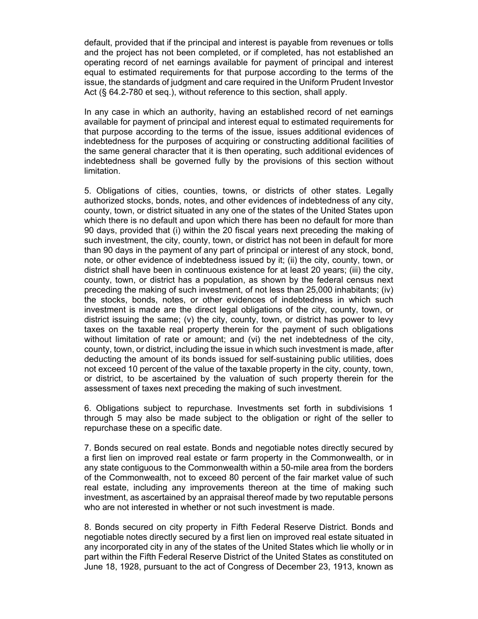default, provided that if the principal and interest is payable from revenues or tolls and the project has not been completed, or if completed, has not established an operating record of net earnings available for payment of principal and interest equal to estimated requirements for that purpose according to the terms of the issue, the standards of judgment and care required in the Uniform Prudent Investor Act (§ 64.2-780 et seq.), without reference to this section, shall apply.

In any case in which an authority, having an established record of net earnings available for payment of principal and interest equal to estimated requirements for that purpose according to the terms of the issue, issues additional evidences of indebtedness for the purposes of acquiring or constructing additional facilities of the same general character that it is then operating, such additional evidences of indebtedness shall be governed fully by the provisions of this section without limitation.

5. Obligations of cities, counties, towns, or districts of other states. Legally authorized stocks, bonds, notes, and other evidences of indebtedness of any city, county, town, or district situated in any one of the states of the United States upon which there is no default and upon which there has been no default for more than 90 days, provided that (i) within the 20 fiscal years next preceding the making of such investment, the city, county, town, or district has not been in default for more than 90 days in the payment of any part of principal or interest of any stock, bond, note, or other evidence of indebtedness issued by it; (ii) the city, county, town, or district shall have been in continuous existence for at least 20 years; (iii) the city, county, town, or district has a population, as shown by the federal census next preceding the making of such investment, of not less than 25,000 inhabitants; (iv) the stocks, bonds, notes, or other evidences of indebtedness in which such investment is made are the direct legal obligations of the city, county, town, or district issuing the same; (v) the city, county, town, or district has power to levy taxes on the taxable real property therein for the payment of such obligations without limitation of rate or amount; and (vi) the net indebtedness of the city, county, town, or district, including the issue in which such investment is made, after deducting the amount of its bonds issued for self-sustaining public utilities, does not exceed 10 percent of the value of the taxable property in the city, county, town, or district, to be ascertained by the valuation of such property therein for the assessment of taxes next preceding the making of such investment.

6. Obligations subject to repurchase. Investments set forth in subdivisions 1 through 5 may also be made subject to the obligation or right of the seller to repurchase these on a specific date.

7. Bonds secured on real estate. Bonds and negotiable notes directly secured by a first lien on improved real estate or farm property in the Commonwealth, or in any state contiguous to the Commonwealth within a 50-mile area from the borders of the Commonwealth, not to exceed 80 percent of the fair market value of such real estate, including any improvements thereon at the time of making such investment, as ascertained by an appraisal thereof made by two reputable persons who are not interested in whether or not such investment is made.

8. Bonds secured on city property in Fifth Federal Reserve District. Bonds and negotiable notes directly secured by a first lien on improved real estate situated in any incorporated city in any of the states of the United States which lie wholly or in part within the Fifth Federal Reserve District of the United States as constituted on June 18, 1928, pursuant to the act of Congress of December 23, 1913, known as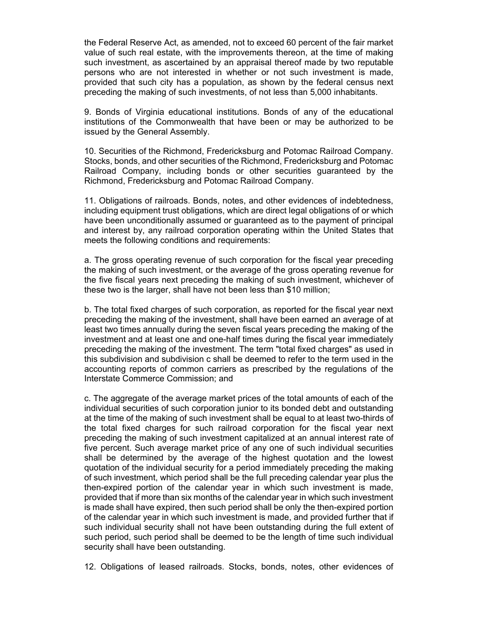the Federal Reserve Act, as amended, not to exceed 60 percent of the fair market value of such real estate, with the improvements thereon, at the time of making such investment, as ascertained by an appraisal thereof made by two reputable persons who are not interested in whether or not such investment is made, provided that such city has a population, as shown by the federal census next preceding the making of such investments, of not less than 5,000 inhabitants.

9. Bonds of Virginia educational institutions. Bonds of any of the educational institutions of the Commonwealth that have been or may be authorized to be issued by the General Assembly.

10. Securities of the Richmond, Fredericksburg and Potomac Railroad Company. Stocks, bonds, and other securities of the Richmond, Fredericksburg and Potomac Railroad Company, including bonds or other securities guaranteed by the Richmond, Fredericksburg and Potomac Railroad Company.

11. Obligations of railroads. Bonds, notes, and other evidences of indebtedness, including equipment trust obligations, which are direct legal obligations of or which have been unconditionally assumed or guaranteed as to the payment of principal and interest by, any railroad corporation operating within the United States that meets the following conditions and requirements:

a. The gross operating revenue of such corporation for the fiscal year preceding the making of such investment, or the average of the gross operating revenue for the five fiscal years next preceding the making of such investment, whichever of these two is the larger, shall have not been less than \$10 million;

b. The total fixed charges of such corporation, as reported for the fiscal year next preceding the making of the investment, shall have been earned an average of at least two times annually during the seven fiscal years preceding the making of the investment and at least one and one-half times during the fiscal year immediately preceding the making of the investment. The term "total fixed charges" as used in this subdivision and subdivision c shall be deemed to refer to the term used in the accounting reports of common carriers as prescribed by the regulations of the Interstate Commerce Commission; and

c. The aggregate of the average market prices of the total amounts of each of the individual securities of such corporation junior to its bonded debt and outstanding at the time of the making of such investment shall be equal to at least two-thirds of the total fixed charges for such railroad corporation for the fiscal year next preceding the making of such investment capitalized at an annual interest rate of five percent. Such average market price of any one of such individual securities shall be determined by the average of the highest quotation and the lowest quotation of the individual security for a period immediately preceding the making of such investment, which period shall be the full preceding calendar year plus the then-expired portion of the calendar year in which such investment is made, provided that if more than six months of the calendar year in which such investment is made shall have expired, then such period shall be only the then-expired portion of the calendar year in which such investment is made, and provided further that if such individual security shall not have been outstanding during the full extent of such period, such period shall be deemed to be the length of time such individual security shall have been outstanding.

12. Obligations of leased railroads. Stocks, bonds, notes, other evidences of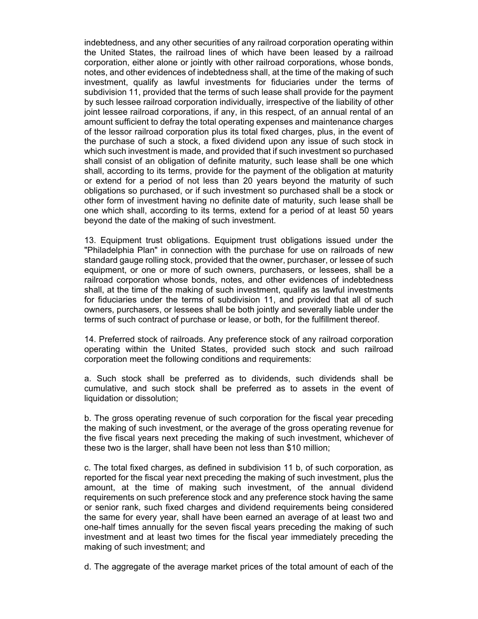indebtedness, and any other securities of any railroad corporation operating within the United States, the railroad lines of which have been leased by a railroad corporation, either alone or jointly with other railroad corporations, whose bonds, notes, and other evidences of indebtedness shall, at the time of the making of such investment, qualify as lawful investments for fiduciaries under the terms of subdivision 11, provided that the terms of such lease shall provide for the payment by such lessee railroad corporation individually, irrespective of the liability of other joint lessee railroad corporations, if any, in this respect, of an annual rental of an amount sufficient to defray the total operating expenses and maintenance charges of the lessor railroad corporation plus its total fixed charges, plus, in the event of the purchase of such a stock, a fixed dividend upon any issue of such stock in which such investment is made, and provided that if such investment so purchased shall consist of an obligation of definite maturity, such lease shall be one which shall, according to its terms, provide for the payment of the obligation at maturity or extend for a period of not less than 20 years beyond the maturity of such obligations so purchased, or if such investment so purchased shall be a stock or other form of investment having no definite date of maturity, such lease shall be one which shall, according to its terms, extend for a period of at least 50 years beyond the date of the making of such investment.

13. Equipment trust obligations. Equipment trust obligations issued under the "Philadelphia Plan" in connection with the purchase for use on railroads of new standard gauge rolling stock, provided that the owner, purchaser, or lessee of such equipment, or one or more of such owners, purchasers, or lessees, shall be a railroad corporation whose bonds, notes, and other evidences of indebtedness shall, at the time of the making of such investment, qualify as lawful investments for fiduciaries under the terms of subdivision 11, and provided that all of such owners, purchasers, or lessees shall be both jointly and severally liable under the terms of such contract of purchase or lease, or both, for the fulfillment thereof.

14. Preferred stock of railroads. Any preference stock of any railroad corporation operating within the United States, provided such stock and such railroad corporation meet the following conditions and requirements:

a. Such stock shall be preferred as to dividends, such dividends shall be cumulative, and such stock shall be preferred as to assets in the event of liquidation or dissolution;

b. The gross operating revenue of such corporation for the fiscal year preceding the making of such investment, or the average of the gross operating revenue for the five fiscal years next preceding the making of such investment, whichever of these two is the larger, shall have been not less than \$10 million;

c. The total fixed charges, as defined in subdivision 11 b, of such corporation, as reported for the fiscal year next preceding the making of such investment, plus the amount, at the time of making such investment, of the annual dividend requirements on such preference stock and any preference stock having the same or senior rank, such fixed charges and dividend requirements being considered the same for every year, shall have been earned an average of at least two and one-half times annually for the seven fiscal years preceding the making of such investment and at least two times for the fiscal year immediately preceding the making of such investment; and

d. The aggregate of the average market prices of the total amount of each of the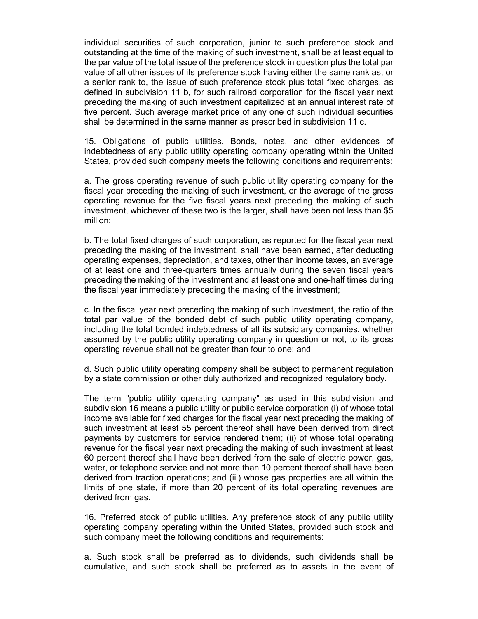individual securities of such corporation, junior to such preference stock and outstanding at the time of the making of such investment, shall be at least equal to the par value of the total issue of the preference stock in question plus the total par value of all other issues of its preference stock having either the same rank as, or a senior rank to, the issue of such preference stock plus total fixed charges, as defined in subdivision 11 b, for such railroad corporation for the fiscal year next preceding the making of such investment capitalized at an annual interest rate of five percent. Such average market price of any one of such individual securities shall be determined in the same manner as prescribed in subdivision 11 c.

15. Obligations of public utilities. Bonds, notes, and other evidences of indebtedness of any public utility operating company operating within the United States, provided such company meets the following conditions and requirements:

a. The gross operating revenue of such public utility operating company for the fiscal year preceding the making of such investment, or the average of the gross operating revenue for the five fiscal years next preceding the making of such investment, whichever of these two is the larger, shall have been not less than \$5 million;

b. The total fixed charges of such corporation, as reported for the fiscal year next preceding the making of the investment, shall have been earned, after deducting operating expenses, depreciation, and taxes, other than income taxes, an average of at least one and three-quarters times annually during the seven fiscal years preceding the making of the investment and at least one and one-half times during the fiscal year immediately preceding the making of the investment;

c. In the fiscal year next preceding the making of such investment, the ratio of the total par value of the bonded debt of such public utility operating company, including the total bonded indebtedness of all its subsidiary companies, whether assumed by the public utility operating company in question or not, to its gross operating revenue shall not be greater than four to one; and

d. Such public utility operating company shall be subject to permanent regulation by a state commission or other duly authorized and recognized regulatory body.

The term "public utility operating company" as used in this subdivision and subdivision 16 means a public utility or public service corporation (i) of whose total income available for fixed charges for the fiscal year next preceding the making of such investment at least 55 percent thereof shall have been derived from direct payments by customers for service rendered them; (ii) of whose total operating revenue for the fiscal year next preceding the making of such investment at least 60 percent thereof shall have been derived from the sale of electric power, gas, water, or telephone service and not more than 10 percent thereof shall have been derived from traction operations; and (iii) whose gas properties are all within the limits of one state, if more than 20 percent of its total operating revenues are derived from gas.

16. Preferred stock of public utilities. Any preference stock of any public utility operating company operating within the United States, provided such stock and such company meet the following conditions and requirements:

a. Such stock shall be preferred as to dividends, such dividends shall be cumulative, and such stock shall be preferred as to assets in the event of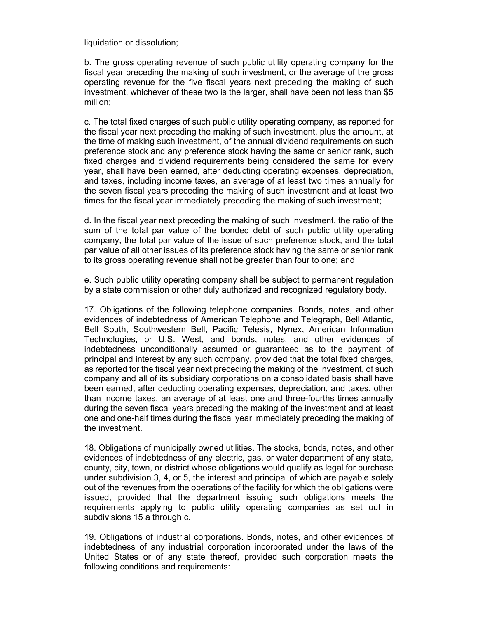liquidation or dissolution;

b. The gross operating revenue of such public utility operating company for the fiscal year preceding the making of such investment, or the average of the gross operating revenue for the five fiscal years next preceding the making of such investment, whichever of these two is the larger, shall have been not less than \$5 million;

c. The total fixed charges of such public utility operating company, as reported for the fiscal year next preceding the making of such investment, plus the amount, at the time of making such investment, of the annual dividend requirements on such preference stock and any preference stock having the same or senior rank, such fixed charges and dividend requirements being considered the same for every year, shall have been earned, after deducting operating expenses, depreciation, and taxes, including income taxes, an average of at least two times annually for the seven fiscal years preceding the making of such investment and at least two times for the fiscal year immediately preceding the making of such investment;

d. In the fiscal year next preceding the making of such investment, the ratio of the sum of the total par value of the bonded debt of such public utility operating company, the total par value of the issue of such preference stock, and the total par value of all other issues of its preference stock having the same or senior rank to its gross operating revenue shall not be greater than four to one; and

e. Such public utility operating company shall be subject to permanent regulation by a state commission or other duly authorized and recognized regulatory body.

17. Obligations of the following telephone companies. Bonds, notes, and other evidences of indebtedness of American Telephone and Telegraph, Bell Atlantic, Bell South, Southwestern Bell, Pacific Telesis, Nynex, American Information Technologies, or U.S. West, and bonds, notes, and other evidences of indebtedness unconditionally assumed or guaranteed as to the payment of principal and interest by any such company, provided that the total fixed charges, as reported for the fiscal year next preceding the making of the investment, of such company and all of its subsidiary corporations on a consolidated basis shall have been earned, after deducting operating expenses, depreciation, and taxes, other than income taxes, an average of at least one and three-fourths times annually during the seven fiscal years preceding the making of the investment and at least one and one-half times during the fiscal year immediately preceding the making of the investment.

18. Obligations of municipally owned utilities. The stocks, bonds, notes, and other evidences of indebtedness of any electric, gas, or water department of any state, county, city, town, or district whose obligations would qualify as legal for purchase under subdivision 3, 4, or 5, the interest and principal of which are payable solely out of the revenues from the operations of the facility for which the obligations were issued, provided that the department issuing such obligations meets the requirements applying to public utility operating companies as set out in subdivisions 15 a through c.

19. Obligations of industrial corporations. Bonds, notes, and other evidences of indebtedness of any industrial corporation incorporated under the laws of the United States or of any state thereof, provided such corporation meets the following conditions and requirements: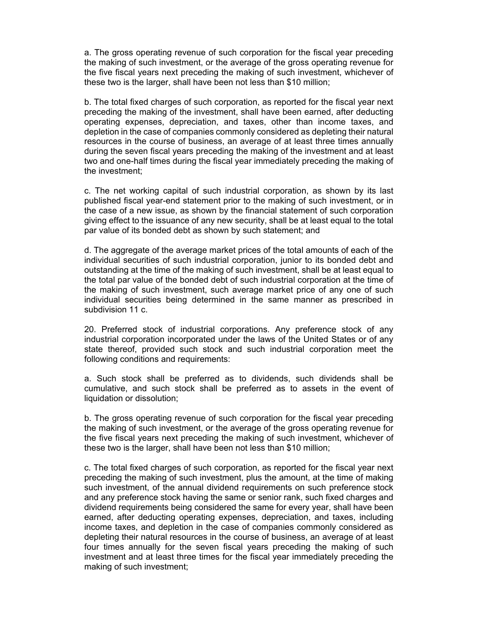a. The gross operating revenue of such corporation for the fiscal year preceding the making of such investment, or the average of the gross operating revenue for the five fiscal years next preceding the making of such investment, whichever of these two is the larger, shall have been not less than \$10 million;

b. The total fixed charges of such corporation, as reported for the fiscal year next preceding the making of the investment, shall have been earned, after deducting operating expenses, depreciation, and taxes, other than income taxes, and depletion in the case of companies commonly considered as depleting their natural resources in the course of business, an average of at least three times annually during the seven fiscal years preceding the making of the investment and at least two and one-half times during the fiscal year immediately preceding the making of the investment;

c. The net working capital of such industrial corporation, as shown by its last published fiscal year-end statement prior to the making of such investment, or in the case of a new issue, as shown by the financial statement of such corporation giving effect to the issuance of any new security, shall be at least equal to the total par value of its bonded debt as shown by such statement; and

d. The aggregate of the average market prices of the total amounts of each of the individual securities of such industrial corporation, junior to its bonded debt and outstanding at the time of the making of such investment, shall be at least equal to the total par value of the bonded debt of such industrial corporation at the time of the making of such investment, such average market price of any one of such individual securities being determined in the same manner as prescribed in subdivision 11 c.

20. Preferred stock of industrial corporations. Any preference stock of any industrial corporation incorporated under the laws of the United States or of any state thereof, provided such stock and such industrial corporation meet the following conditions and requirements:

a. Such stock shall be preferred as to dividends, such dividends shall be cumulative, and such stock shall be preferred as to assets in the event of liquidation or dissolution;

b. The gross operating revenue of such corporation for the fiscal year preceding the making of such investment, or the average of the gross operating revenue for the five fiscal years next preceding the making of such investment, whichever of these two is the larger, shall have been not less than \$10 million;

c. The total fixed charges of such corporation, as reported for the fiscal year next preceding the making of such investment, plus the amount, at the time of making such investment, of the annual dividend requirements on such preference stock and any preference stock having the same or senior rank, such fixed charges and dividend requirements being considered the same for every year, shall have been earned, after deducting operating expenses, depreciation, and taxes, including income taxes, and depletion in the case of companies commonly considered as depleting their natural resources in the course of business, an average of at least four times annually for the seven fiscal years preceding the making of such investment and at least three times for the fiscal year immediately preceding the making of such investment;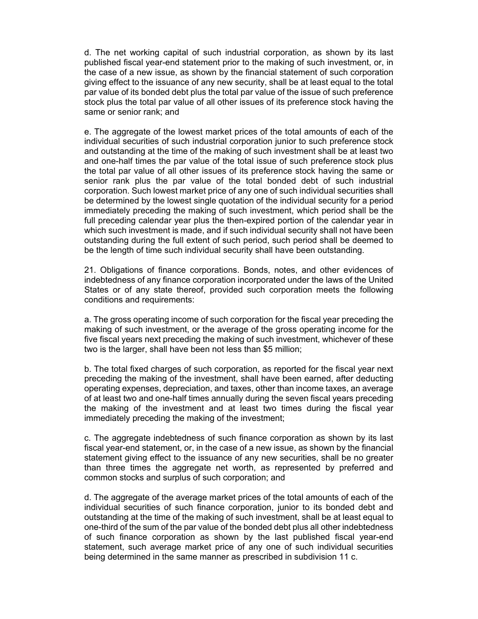d. The net working capital of such industrial corporation, as shown by its last published fiscal year-end statement prior to the making of such investment, or, in the case of a new issue, as shown by the financial statement of such corporation giving effect to the issuance of any new security, shall be at least equal to the total par value of its bonded debt plus the total par value of the issue of such preference stock plus the total par value of all other issues of its preference stock having the same or senior rank; and

e. The aggregate of the lowest market prices of the total amounts of each of the individual securities of such industrial corporation junior to such preference stock and outstanding at the time of the making of such investment shall be at least two and one-half times the par value of the total issue of such preference stock plus the total par value of all other issues of its preference stock having the same or senior rank plus the par value of the total bonded debt of such industrial corporation. Such lowest market price of any one of such individual securities shall be determined by the lowest single quotation of the individual security for a period immediately preceding the making of such investment, which period shall be the full preceding calendar year plus the then-expired portion of the calendar year in which such investment is made, and if such individual security shall not have been outstanding during the full extent of such period, such period shall be deemed to be the length of time such individual security shall have been outstanding.

21. Obligations of finance corporations. Bonds, notes, and other evidences of indebtedness of any finance corporation incorporated under the laws of the United States or of any state thereof, provided such corporation meets the following conditions and requirements:

a. The gross operating income of such corporation for the fiscal year preceding the making of such investment, or the average of the gross operating income for the five fiscal years next preceding the making of such investment, whichever of these two is the larger, shall have been not less than \$5 million;

b. The total fixed charges of such corporation, as reported for the fiscal year next preceding the making of the investment, shall have been earned, after deducting operating expenses, depreciation, and taxes, other than income taxes, an average of at least two and one-half times annually during the seven fiscal years preceding the making of the investment and at least two times during the fiscal year immediately preceding the making of the investment;

c. The aggregate indebtedness of such finance corporation as shown by its last fiscal year-end statement, or, in the case of a new issue, as shown by the financial statement giving effect to the issuance of any new securities, shall be no greater than three times the aggregate net worth, as represented by preferred and common stocks and surplus of such corporation; and

d. The aggregate of the average market prices of the total amounts of each of the individual securities of such finance corporation, junior to its bonded debt and outstanding at the time of the making of such investment, shall be at least equal to one-third of the sum of the par value of the bonded debt plus all other indebtedness of such finance corporation as shown by the last published fiscal year-end statement, such average market price of any one of such individual securities being determined in the same manner as prescribed in subdivision 11 c.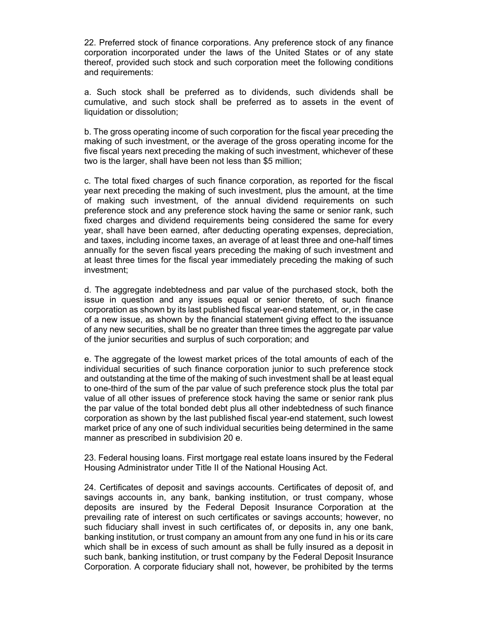22. Preferred stock of finance corporations. Any preference stock of any finance corporation incorporated under the laws of the United States or of any state thereof, provided such stock and such corporation meet the following conditions and requirements:

a. Such stock shall be preferred as to dividends, such dividends shall be cumulative, and such stock shall be preferred as to assets in the event of liquidation or dissolution;

b. The gross operating income of such corporation for the fiscal year preceding the making of such investment, or the average of the gross operating income for the five fiscal years next preceding the making of such investment, whichever of these two is the larger, shall have been not less than \$5 million;

c. The total fixed charges of such finance corporation, as reported for the fiscal year next preceding the making of such investment, plus the amount, at the time of making such investment, of the annual dividend requirements on such preference stock and any preference stock having the same or senior rank, such fixed charges and dividend requirements being considered the same for every year, shall have been earned, after deducting operating expenses, depreciation, and taxes, including income taxes, an average of at least three and one-half times annually for the seven fiscal years preceding the making of such investment and at least three times for the fiscal year immediately preceding the making of such investment;

d. The aggregate indebtedness and par value of the purchased stock, both the issue in question and any issues equal or senior thereto, of such finance corporation as shown by its last published fiscal year-end statement, or, in the case of a new issue, as shown by the financial statement giving effect to the issuance of any new securities, shall be no greater than three times the aggregate par value of the junior securities and surplus of such corporation; and

e. The aggregate of the lowest market prices of the total amounts of each of the individual securities of such finance corporation junior to such preference stock and outstanding at the time of the making of such investment shall be at least equal to one-third of the sum of the par value of such preference stock plus the total par value of all other issues of preference stock having the same or senior rank plus the par value of the total bonded debt plus all other indebtedness of such finance corporation as shown by the last published fiscal year-end statement, such lowest market price of any one of such individual securities being determined in the same manner as prescribed in subdivision 20 e.

23. Federal housing loans. First mortgage real estate loans insured by the Federal Housing Administrator under Title II of the National Housing Act.

24. Certificates of deposit and savings accounts. Certificates of deposit of, and savings accounts in, any bank, banking institution, or trust company, whose deposits are insured by the Federal Deposit Insurance Corporation at the prevailing rate of interest on such certificates or savings accounts; however, no such fiduciary shall invest in such certificates of, or deposits in, any one bank, banking institution, or trust company an amount from any one fund in his or its care which shall be in excess of such amount as shall be fully insured as a deposit in such bank, banking institution, or trust company by the Federal Deposit Insurance Corporation. A corporate fiduciary shall not, however, be prohibited by the terms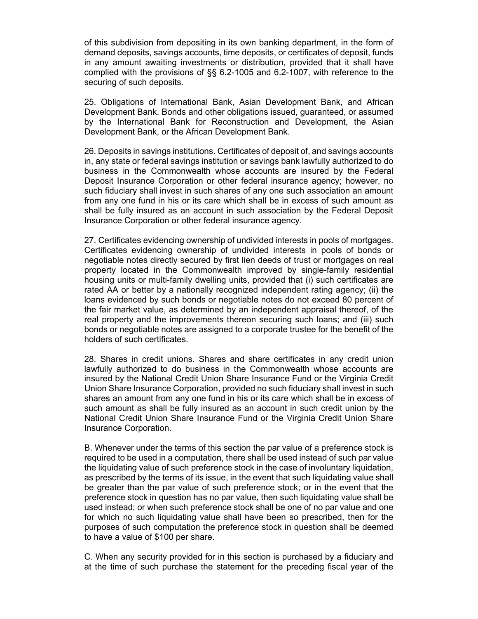of this subdivision from depositing in its own banking department, in the form of demand deposits, savings accounts, time deposits, or certificates of deposit, funds in any amount awaiting investments or distribution, provided that it shall have complied with the provisions of §§ 6.2-1005 and 6.2-1007, with reference to the securing of such deposits.

25. Obligations of International Bank, Asian Development Bank, and African Development Bank. Bonds and other obligations issued, guaranteed, or assumed by the International Bank for Reconstruction and Development, the Asian Development Bank, or the African Development Bank.

26. Deposits in savings institutions. Certificates of deposit of, and savings accounts in, any state or federal savings institution or savings bank lawfully authorized to do business in the Commonwealth whose accounts are insured by the Federal Deposit Insurance Corporation or other federal insurance agency; however, no such fiduciary shall invest in such shares of any one such association an amount from any one fund in his or its care which shall be in excess of such amount as shall be fully insured as an account in such association by the Federal Deposit Insurance Corporation or other federal insurance agency.

27. Certificates evidencing ownership of undivided interests in pools of mortgages. Certificates evidencing ownership of undivided interests in pools of bonds or negotiable notes directly secured by first lien deeds of trust or mortgages on real property located in the Commonwealth improved by single-family residential housing units or multi-family dwelling units, provided that (i) such certificates are rated AA or better by a nationally recognized independent rating agency; (ii) the loans evidenced by such bonds or negotiable notes do not exceed 80 percent of the fair market value, as determined by an independent appraisal thereof, of the real property and the improvements thereon securing such loans; and (iii) such bonds or negotiable notes are assigned to a corporate trustee for the benefit of the holders of such certificates.

28. Shares in credit unions. Shares and share certificates in any credit union lawfully authorized to do business in the Commonwealth whose accounts are insured by the National Credit Union Share Insurance Fund or the Virginia Credit Union Share Insurance Corporation, provided no such fiduciary shall invest in such shares an amount from any one fund in his or its care which shall be in excess of such amount as shall be fully insured as an account in such credit union by the National Credit Union Share Insurance Fund or the Virginia Credit Union Share Insurance Corporation.

B. Whenever under the terms of this section the par value of a preference stock is required to be used in a computation, there shall be used instead of such par value the liquidating value of such preference stock in the case of involuntary liquidation, as prescribed by the terms of its issue, in the event that such liquidating value shall be greater than the par value of such preference stock; or in the event that the preference stock in question has no par value, then such liquidating value shall be used instead; or when such preference stock shall be one of no par value and one for which no such liquidating value shall have been so prescribed, then for the purposes of such computation the preference stock in question shall be deemed to have a value of \$100 per share.

C. When any security provided for in this section is purchased by a fiduciary and at the time of such purchase the statement for the preceding fiscal year of the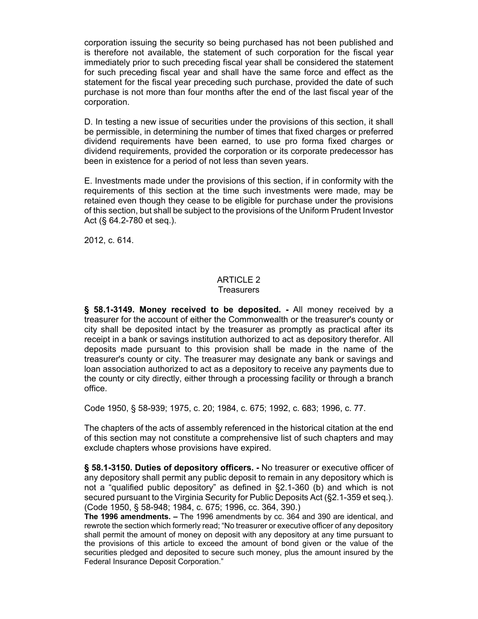corporation issuing the security so being purchased has not been published and is therefore not available, the statement of such corporation for the fiscal year immediately prior to such preceding fiscal year shall be considered the statement for such preceding fiscal year and shall have the same force and effect as the statement for the fiscal year preceding such purchase, provided the date of such purchase is not more than four months after the end of the last fiscal year of the corporation.

D. In testing a new issue of securities under the provisions of this section, it shall be permissible, in determining the number of times that fixed charges or preferred dividend requirements have been earned, to use pro forma fixed charges or dividend requirements, provided the corporation or its corporate predecessor has been in existence for a period of not less than seven years.

E. Investments made under the provisions of this section, if in conformity with the requirements of this section at the time such investments were made, may be retained even though they cease to be eligible for purchase under the provisions of this section, but shall be subject to the provisions of the Uniform Prudent Investor Act (§ 64.2-780 et seq.).

2012, c. 614.

# ARTICLE 2

#### **Treasurers**

**§ 58.1-3149. Money received to be deposited. -** All money received by a treasurer for the account of either the Commonwealth or the treasurer's county or city shall be deposited intact by the treasurer as promptly as practical after its receipt in a bank or savings institution authorized to act as depository therefor. All deposits made pursuant to this provision shall be made in the name of the treasurer's county or city. The treasurer may designate any bank or savings and loan association authorized to act as a depository to receive any payments due to the county or city directly, either through a processing facility or through a branch office.

Code 1950, § 58-939; 1975, c. 20; 1984, c. 675; 1992, c. 683; 1996, c. 77.

The chapters of the acts of assembly referenced in the historical citation at the end of this section may not constitute a comprehensive list of such chapters and may exclude chapters whose provisions have expired.

**§ 58.1-3150. Duties of depository officers. -** No treasurer or executive officer of any depository shall permit any public deposit to remain in any depository which is not a "qualified public depository" as defined in §2.1-360 (b) and which is not secured pursuant to the Virginia Security for Public Deposits Act (§2.1-359 et seq.). (Code 1950, § 58-948; 1984, c. 675; 1996, cc. 364, 390.)

**The 1996 amendments. –** The 1996 amendments by cc. 364 and 390 are identical, and rewrote the section which formerly read; "No treasurer or executive officer of any depository shall permit the amount of money on deposit with any depository at any time pursuant to the provisions of this article to exceed the amount of bond given or the value of the securities pledged and deposited to secure such money, plus the amount insured by the Federal Insurance Deposit Corporation."